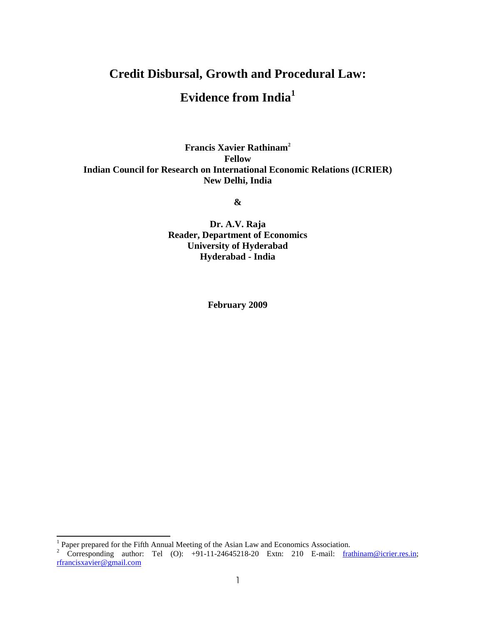# **Credit Disbursal, Growth and Procedural Law:**

## **Evidence from India<sup>1</sup>**

**Francis Xavier Rathinam<sup>2</sup> Fellow Indian Council for Research on International Economic Relations (ICRIER) New Delhi, India** 

**&** 

**Dr. A.V. Raja Reader, Department of Economics University of Hyderabad Hyderabad - India** 

**February 2009** 

 $\overline{a}$ 

<sup>&</sup>lt;sup>1</sup> Paper prepared for the Fifth Annual Meeting of the Asian Law and Economics Association.<br><sup>2</sup> Corresponding author: Tel (O): +91-11-24645218-20 Extn: 210 E-mail: <u>frathinam@icrier.res.in</u>; rfrancisxavier@gmail.com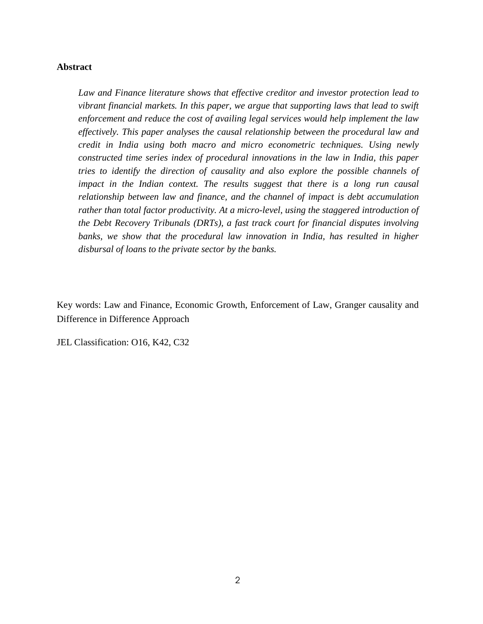### **Abstract**

*Law and Finance literature shows that effective creditor and investor protection lead to vibrant financial markets. In this paper, we argue that supporting laws that lead to swift enforcement and reduce the cost of availing legal services would help implement the law effectively. This paper analyses the causal relationship between the procedural law and credit in India using both macro and micro econometric techniques. Using newly constructed time series index of procedural innovations in the law in India, this paper tries to identify the direction of causality and also explore the possible channels of impact in the Indian context. The results suggest that there is a long run causal relationship between law and finance, and the channel of impact is debt accumulation rather than total factor productivity. At a micro-level, using the staggered introduction of the Debt Recovery Tribunals (DRTs), a fast track court for financial disputes involving banks, we show that the procedural law innovation in India, has resulted in higher disbursal of loans to the private sector by the banks.* 

Key words: Law and Finance, Economic Growth, Enforcement of Law, Granger causality and Difference in Difference Approach

JEL Classification: O16, K42, C32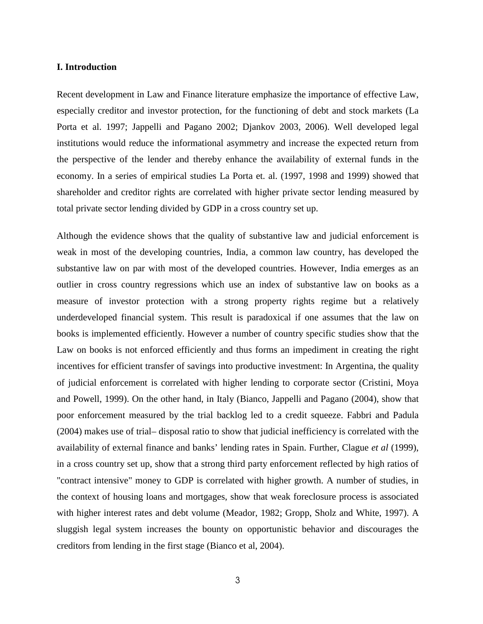### **I. Introduction**

Recent development in Law and Finance literature emphasize the importance of effective Law, especially creditor and investor protection, for the functioning of debt and stock markets (La Porta et al. 1997; Jappelli and Pagano 2002; Djankov 2003, 2006). Well developed legal institutions would reduce the informational asymmetry and increase the expected return from the perspective of the lender and thereby enhance the availability of external funds in the economy. In a series of empirical studies La Porta et. al. (1997, 1998 and 1999) showed that shareholder and creditor rights are correlated with higher private sector lending measured by total private sector lending divided by GDP in a cross country set up.

Although the evidence shows that the quality of substantive law and judicial enforcement is weak in most of the developing countries, India, a common law country, has developed the substantive law on par with most of the developed countries. However, India emerges as an outlier in cross country regressions which use an index of substantive law on books as a measure of investor protection with a strong property rights regime but a relatively underdeveloped financial system. This result is paradoxical if one assumes that the law on books is implemented efficiently. However a number of country specific studies show that the Law on books is not enforced efficiently and thus forms an impediment in creating the right incentives for efficient transfer of savings into productive investment: In Argentina, the quality of judicial enforcement is correlated with higher lending to corporate sector (Cristini, Moya and Powell, 1999). On the other hand, in Italy (Bianco, Jappelli and Pagano (2004), show that poor enforcement measured by the trial backlog led to a credit squeeze. Fabbri and Padula (2004) makes use of trial– disposal ratio to show that judicial inefficiency is correlated with the availability of external finance and banks' lending rates in Spain. Further, Clague *et al* (1999), in a cross country set up, show that a strong third party enforcement reflected by high ratios of "contract intensive" money to GDP is correlated with higher growth. A number of studies, in the context of housing loans and mortgages, show that weak foreclosure process is associated with higher interest rates and debt volume (Meador, 1982; Gropp, Sholz and White, 1997). A sluggish legal system increases the bounty on opportunistic behavior and discourages the creditors from lending in the first stage (Bianco et al, 2004).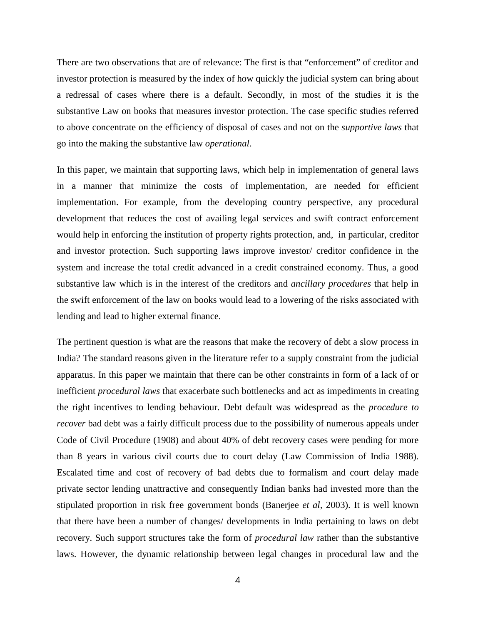There are two observations that are of relevance: The first is that "enforcement" of creditor and investor protection is measured by the index of how quickly the judicial system can bring about a redressal of cases where there is a default. Secondly, in most of the studies it is the substantive Law on books that measures investor protection. The case specific studies referred to above concentrate on the efficiency of disposal of cases and not on the *supportive laws* that go into the making the substantive law *operational*.

In this paper, we maintain that supporting laws, which help in implementation of general laws in a manner that minimize the costs of implementation, are needed for efficient implementation. For example, from the developing country perspective, any procedural development that reduces the cost of availing legal services and swift contract enforcement would help in enforcing the institution of property rights protection, and, in particular, creditor and investor protection. Such supporting laws improve investor/ creditor confidence in the system and increase the total credit advanced in a credit constrained economy. Thus, a good substantive law which is in the interest of the creditors and *ancillary procedures* that help in the swift enforcement of the law on books would lead to a lowering of the risks associated with lending and lead to higher external finance.

The pertinent question is what are the reasons that make the recovery of debt a slow process in India? The standard reasons given in the literature refer to a supply constraint from the judicial apparatus. In this paper we maintain that there can be other constraints in form of a lack of or inefficient *procedural laws* that exacerbate such bottlenecks and act as impediments in creating the right incentives to lending behaviour. Debt default was widespread as the *procedure to recover* bad debt was a fairly difficult process due to the possibility of numerous appeals under Code of Civil Procedure (1908) and about 40% of debt recovery cases were pending for more than 8 years in various civil courts due to court delay (Law Commission of India 1988). Escalated time and cost of recovery of bad debts due to formalism and court delay made private sector lending unattractive and consequently Indian banks had invested more than the stipulated proportion in risk free government bonds (Banerjee *et al*, 2003). It is well known that there have been a number of changes/ developments in India pertaining to laws on debt recovery. Such support structures take the form of *procedural law* rather than the substantive laws. However, the dynamic relationship between legal changes in procedural law and the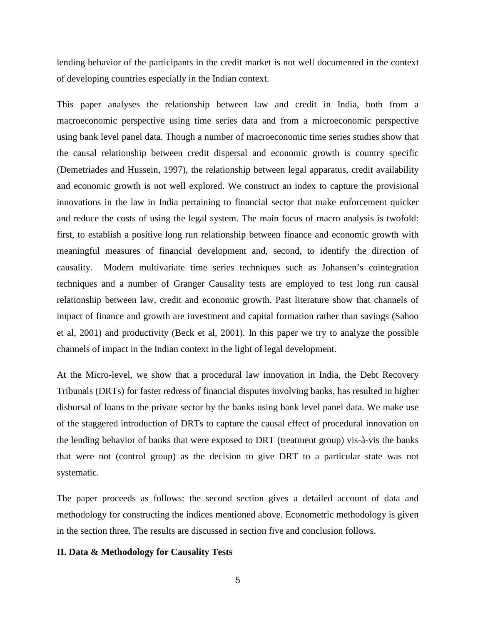lending behavior of the participants in the credit market is not well documented in the context of developing countries especially in the Indian context.

This paper analyses the relationship between law and credit in India, both from a macroeconomic perspective using time series data and from a microeconomic perspective using bank level panel data. Though a number of macroeconomic time series studies show that the causal relationship between credit dispersal and economic growth is country specific (Demetriades and Hussein, 1997), the relationship between legal apparatus, credit availability and economic growth is not well explored. We construct an index to capture the provisional innovations in the law in India pertaining to financial sector that make enforcement quicker and reduce the costs of using the legal system. The main focus of macro analysis is twofold: first, to establish a positive long run relationship between finance and economic growth with meaningful measures of financial development and, second, to identify the direction of causality. Modern multivariate time series techniques such as Johansen's cointegration techniques and a number of Granger Causality tests are employed to test long run causal relationship between law, credit and economic growth. Past literature show that channels of impact of finance and growth are investment and capital formation rather than savings (Sahoo et al, 2001) and productivity (Beck et al, 2001). In this paper we try to analyze the possible channels of impact in the Indian context in the light of legal development.

At the Micro-level, we show that a procedural law innovation in India, the Debt Recovery Tribunals (DRTs) for faster redress of financial disputes involving banks, has resulted in higher disbursal of loans to the private sector by the banks using bank level panel data. We make use of the staggered introduction of DRTs to capture the causal effect of procedural innovation on the lending behavior of banks that were exposed to DRT (treatment group) vis-à-vis the banks that were not (control group) as the decision to give DRT to a particular state was not systematic.

The paper proceeds as follows: the second section gives a detailed account of data and methodology for constructing the indices mentioned above. Econometric methodology is given in the section three. The results are discussed in section five and conclusion follows.

### **II. Data & Methodology for Causality Tests**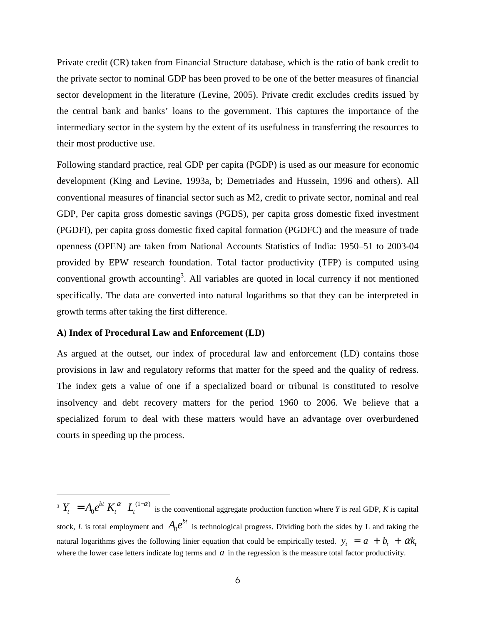Private credit (CR) taken from Financial Structure database, which is the ratio of bank credit to the private sector to nominal GDP has been proved to be one of the better measures of financial sector development in the literature (Levine, 2005). Private credit excludes credits issued by the central bank and banks' loans to the government. This captures the importance of the intermediary sector in the system by the extent of its usefulness in transferring the resources to their most productive use.

Following standard practice, real GDP per capita (PGDP) is used as our measure for economic development (King and Levine, 1993a, b; Demetriades and Hussein, 1996 and others). All conventional measures of financial sector such as M2, credit to private sector, nominal and real GDP, Per capita gross domestic savings (PGDS), per capita gross domestic fixed investment (PGDFI), per capita gross domestic fixed capital formation (PGDFC) and the measure of trade openness (OPEN) are taken from National Accounts Statistics of India: 1950–51 to 2003-04 provided by EPW research foundation. Total factor productivity (TFP) is computed using conventional growth accounting<sup>3</sup>. All variables are quoted in local currency if not mentioned specifically. The data are converted into natural logarithms so that they can be interpreted in growth terms after taking the first difference.

#### **A) Index of Procedural Law and Enforcement (LD)**

 $\overline{a}$ 

As argued at the outset, our index of procedural law and enforcement (LD) contains those provisions in law and regulatory reforms that matter for the speed and the quality of redress. The index gets a value of one if a specialized board or tribunal is constituted to resolve insolvency and debt recovery matters for the period 1960 to 2006. We believe that a specialized forum to deal with these matters would have an advantage over overburdened courts in speeding up the process.

3  $Y = A e^{bt} K^{\alpha} I^{(1-\alpha)}$  $Y_t = A_0 e^{bt} K_t^{\alpha} L_t^{(1-\alpha)}$  is the conventional aggregate production function where *Y* is real GDP, *K* is capital stock, *L* is total employment and  $A_0 e^{bt}$  is technological progress. Dividing both the sides by L and taking the natural logarithms gives the following linier equation that could be empirically tested.  $y_t = a + b_t + \alpha k_t$ where the lower case letters indicate log terms and  $a$  in the regression is the measure total factor productivity.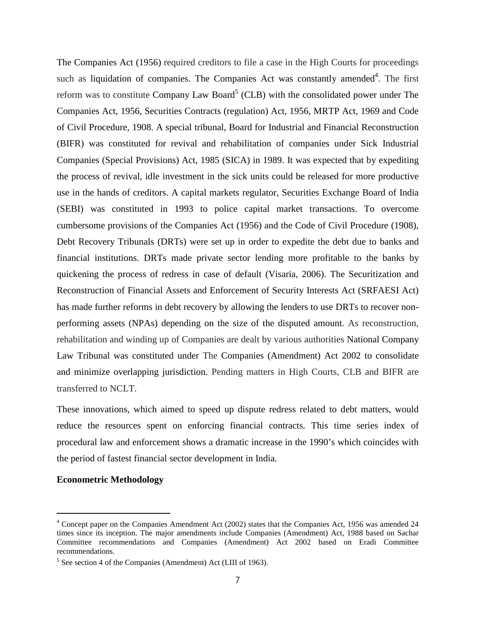The Companies Act (1956) required creditors to file a case in the High Courts for proceedings such as liquidation of companies. The Companies Act was constantly amended $4$ . The first reform was to constitute Company Law Board<sup>5</sup> (CLB) with the consolidated power under The Companies Act, 1956, Securities Contracts (regulation) Act, 1956, MRTP Act, 1969 and Code of Civil Procedure, 1908. A special tribunal, Board for Industrial and Financial Reconstruction (BIFR) was constituted for revival and rehabilitation of companies under Sick Industrial Companies (Special Provisions) Act, 1985 (SICA) in 1989. It was expected that by expediting the process of revival, idle investment in the sick units could be released for more productive use in the hands of creditors. A capital markets regulator, Securities Exchange Board of India (SEBI) was constituted in 1993 to police capital market transactions. To overcome cumbersome provisions of the Companies Act (1956) and the Code of Civil Procedure (1908), Debt Recovery Tribunals (DRTs) were set up in order to expedite the debt due to banks and financial institutions. DRTs made private sector lending more profitable to the banks by quickening the process of redress in case of default (Visaria, 2006). The Securitization and Reconstruction of Financial Assets and Enforcement of Security Interests Act (SRFAESI Act) has made further reforms in debt recovery by allowing the lenders to use DRTs to recover nonperforming assets (NPAs) depending on the size of the disputed amount. As reconstruction, rehabilitation and winding up of Companies are dealt by various authorities National Company Law Tribunal was constituted under The Companies (Amendment) Act 2002 to consolidate and minimize overlapping jurisdiction. Pending matters in High Courts, CLB and BIFR are transferred to NCLT.

These innovations, which aimed to speed up dispute redress related to debt matters, would reduce the resources spent on enforcing financial contracts. This time series index of procedural law and enforcement shows a dramatic increase in the 1990's which coincides with the period of fastest financial sector development in India.

### **Econometric Methodology**

 $\overline{a}$ 

<sup>&</sup>lt;sup>4</sup> Concept paper on the Companies Amendment Act (2002) states that the Companies Act, 1956 was amended 24 times since its inception. The major amendments include Companies (Amendment) Act, 1988 based on Sachar Committee recommendations and Companies (Amendment) Act 2002 based on Eradi Committee recommendations.

<sup>&</sup>lt;sup>5</sup> See section 4 of the Companies (Amendment) Act (LIII of 1963).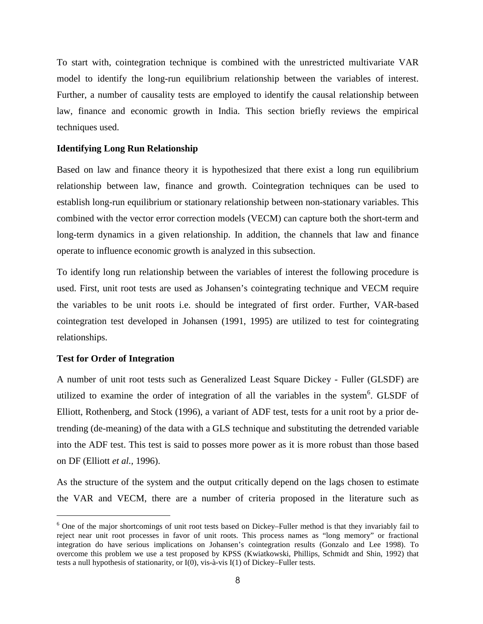To start with, cointegration technique is combined with the unrestricted multivariate VAR model to identify the long-run equilibrium relationship between the variables of interest. Further, a number of causality tests are employed to identify the causal relationship between law, finance and economic growth in India. This section briefly reviews the empirical techniques used.

### **Identifying Long Run Relationship**

Based on law and finance theory it is hypothesized that there exist a long run equilibrium relationship between law, finance and growth. Cointegration techniques can be used to establish long-run equilibrium or stationary relationship between non-stationary variables. This combined with the vector error correction models (VECM) can capture both the short-term and long-term dynamics in a given relationship. In addition, the channels that law and finance operate to influence economic growth is analyzed in this subsection.

To identify long run relationship between the variables of interest the following procedure is used. First, unit root tests are used as Johansen's cointegrating technique and VECM require the variables to be unit roots i.e. should be integrated of first order. Further, VAR-based cointegration test developed in Johansen (1991, 1995) are utilized to test for cointegrating relationships.

### **Test for Order of Integration**

 $\overline{a}$ 

A number of unit root tests such as Generalized Least Square Dickey - Fuller (GLSDF) are utilized to examine the order of integration of all the variables in the system<sup>6</sup>. GLSDF of Elliott, Rothenberg, and Stock (1996), a variant of ADF test, tests for a unit root by a prior detrending (de-meaning) of the data with a GLS technique and substituting the detrended variable into the ADF test. This test is said to posses more power as it is more robust than those based on DF (Elliott *et al.,* 1996).

As the structure of the system and the output critically depend on the lags chosen to estimate the VAR and VECM, there are a number of criteria proposed in the literature such as

<sup>&</sup>lt;sup>6</sup> One of the major shortcomings of unit root tests based on Dickey–Fuller method is that they invariably fail to reject near unit root processes in favor of unit roots. This process names as "long memory" or fractional integration do have serious implications on Johansen's cointegration results (Gonzalo and Lee 1998). To overcome this problem we use a test proposed by KPSS (Kwiatkowski, Phillips, Schmidt and Shin, 1992) that tests a null hypothesis of stationarity, or I(0), vis-à-vis I(1) of Dickey–Fuller tests.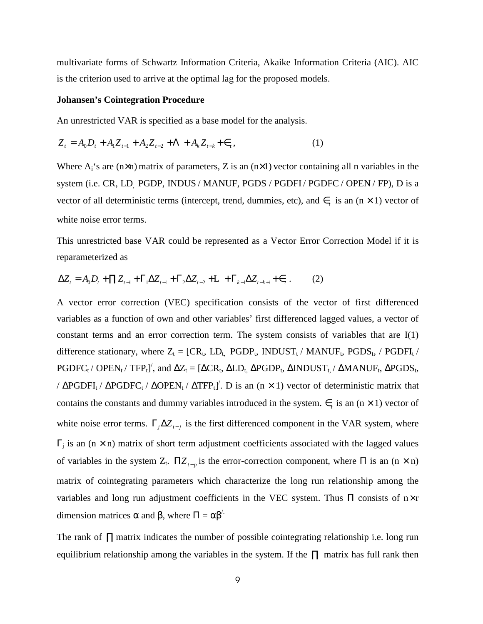multivariate forms of Schwartz Information Criteria, Akaike Information Criteria (AIC). AIC is the criterion used to arrive at the optimal lag for the proposed models.

### **Johansen's Cointegration Procedure**

An unrestricted VAR is specified as a base model for the analysis.

$$
Z_{t} = A_{0}D_{t} + A_{1}Z_{t-1} + A_{2}Z_{t-2} + \Lambda + A_{k}Z_{t-k} + \epsilon_{t},
$$
\n(1)

Where  $A_i$ 's are (n×n) matrix of parameters, Z is an (n×1) vector containing all n variables in the system (i.e. CR, LD, PGDP, INDUS / MANUF, PGDS / PGDFI / PGDFC / OPEN / FP), D is a vector of all deterministic terms (intercept, trend, dummies, etc), and  $\epsilon$ <sub>*t*</sub> is an (n × 1) vector of white noise error terms.

This unrestricted base VAR could be represented as a Vector Error Correction Model if it is reparameterized as

$$
\Delta Z_t = A_0 D_t + \prod Z_{t-1} + \Gamma_1 \Delta Z_{t-1} + \Gamma_2 \Delta Z_{t-2} + \Gamma_3 + \Gamma_{k-1} \Delta Z_{t-k+1} + \epsilon_t. \tag{2}
$$

A vector error correction (VEC) specification consists of the vector of first differenced variables as a function of own and other variables' first differenced lagged values, a vector of constant terms and an error correction term. The system consists of variables that are  $I(1)$ difference stationary, where  $Z_t = [CR_t, LD_t, PGDP_t, INDUST_t / MANUF_t, PGDS_t, / PGDFI_t /$  $PGDFC_t / OPEN_t / TFP_t]$ , and  $\Delta Z_t = [\Delta CR_t, \Delta LD_t, \Delta PGDP_t, \Delta INDUST_t, / \Delta MANUF_t, \Delta PGDS_t,$ /  $\triangle PGDFI_t$  /  $\triangle PGDFC_t$  /  $\triangle OPEN_t$  /  $\triangle TFP_t$ <sup>'</sup>. D is an (n × 1) vector of deterministic matrix that contains the constants and dummy variables introduced in the system.  $\epsilon$ <sub>*t*</sub> is an (n × 1) vector of white noise error terms.  $\Gamma_j \Delta Z_{t-j}$  is the first differenced component in the VAR system, where  $\Gamma_j$  is an (n  $\times$  n) matrix of short term adjustment coefficients associated with the lagged values of variables in the system  $Z_t$ .  $\Pi Z_{t-p}$  is the error-correction component, where  $\Pi$  is an  $(n \times n)$ matrix of cointegrating parameters which characterize the long run relationship among the variables and long run adjustment coefficients in the VEC system. Thus  $\Pi$  consists of  $n \times r$ dimension matrices α and β, where  $\Pi = \alpha \beta'$ .

The rank of ∏ matrix indicates the number of possible cointegrating relationship i.e. long run equilibrium relationship among the variables in the system. If the  $\Pi$  matrix has full rank then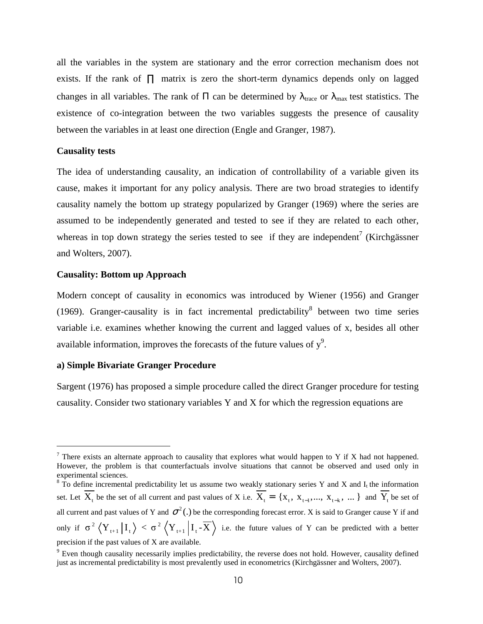all the variables in the system are stationary and the error correction mechanism does not exists. If the rank of  $\Pi$  matrix is zero the short-term dynamics depends only on lagged changes in all variables. The rank of  $\Pi$  can be determined by  $\lambda_{\text{trace}}$  or  $\lambda_{\text{max}}$  test statistics. The existence of co-integration between the two variables suggests the presence of causality between the variables in at least one direction (Engle and Granger, 1987).

### **Causality tests**

 $\overline{a}$ 

The idea of understanding causality, an indication of controllability of a variable given its cause, makes it important for any policy analysis. There are two broad strategies to identify causality namely the bottom up strategy popularized by Granger (1969) where the series are assumed to be independently generated and tested to see if they are related to each other, whereas in top down strategy the series tested to see if they are independent<sup>7</sup> (Kirchgässner and Wolters, 2007).

### **Causality: Bottom up Approach**

Modern concept of causality in economics was introduced by Wiener (1956) and Granger (1969). Granger-causality is in fact incremental predictability<sup>8</sup> between two time series variable i.e. examines whether knowing the current and lagged values of x, besides all other available information, improves the forecasts of the future values of  $y^9$ .

### **a) Simple Bivariate Granger Procedure**

Sargent (1976) has proposed a simple procedure called the direct Granger procedure for testing causality. Consider two stationary variables Y and X for which the regression equations are

<sup>&</sup>lt;sup>7</sup> There exists an alternate approach to causality that explores what would happen to Y if X had not happened. However, the problem is that counterfactuals involve situations that cannot be observed and used only in experimental sciences.

 $8 \text{ T}$ o define incremental predictability let us assume two weakly stationary series Y and X and I<sub>t</sub> the information set. Let  $X_t$  be the set of all current and past values of X i.e.  $X_t = \{X_t, X_{t-1},..., X_{t-k}, ...\}$  and  $Y_t$  be set of all current and past values of Y and  $\sigma^2$ .) be the corresponding forecast error. X is said to Granger cause Y if and only if  $\sigma^2 \left\langle Y_{t+1} | I_t \right\rangle < \sigma^2 \left\langle Y_{t+1} | I_t - \overline{X} \right\rangle$  i.e. the future values of Y can be predicted with a better precision if the past values of X are available.

 $9$  Even though causality necessarily implies predictability, the reverse does not hold. However, causality defined just as incremental predictability is most prevalently used in econometrics (Kirchgässner and Wolters, 2007).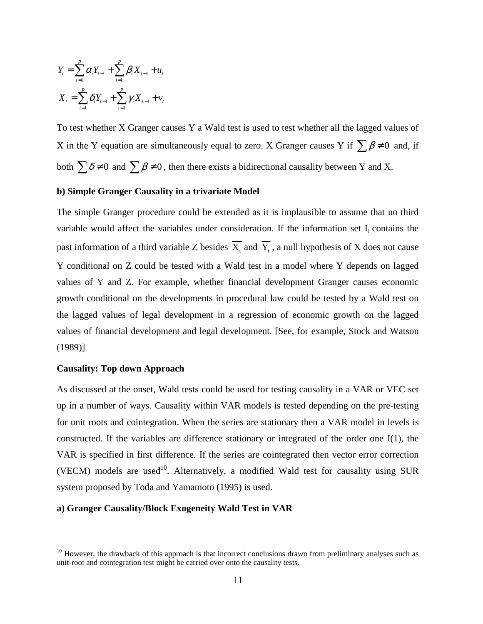$$
Y_{t} = \sum_{i=1}^{p} \alpha_{i} Y_{t-1} + \sum_{i=1}^{p} \beta_{i} X_{t-1} + u_{t}
$$
  

$$
X_{t} = \sum_{i=1}^{p} \delta_{i} Y_{t-1} + \sum_{i=1}^{p} \gamma_{i} X_{t-1} + v_{t}
$$

To test whether X Granger causes Y a Wald test is used to test whether all the lagged values of X in the Y equation are simultaneously equal to zero. X Granger causes Y if  $\sum \beta \neq 0$  and, if both  $\sum \delta \neq 0$  and  $\sum \beta \neq 0$ , then there exists a bidirectional causality between Y and X.

### **b) Simple Granger Causality in a trivariate Model**

The simple Granger procedure could be extended as it is implausible to assume that no third variable would affect the variables under consideration. If the information set  $I_t$  contains the past information of a third variable Z besides  $X_t$  and  $Y_t$ , a null hypothesis of X does not cause Y conditional on Z could be tested with a Wald test in a model where Y depends on lagged values of Y and Z. For example, whether financial development Granger causes economic growth conditional on the developments in procedural law could be tested by a Wald test on the lagged values of legal development in a regression of economic growth on the lagged values of financial development and legal development. [See, for example, Stock and Watson (1989)]

### **Causality: Top down Approach**

 $\overline{a}$ 

As discussed at the onset, Wald tests could be used for testing causality in a VAR or VEC set up in a number of ways. Causality within VAR models is tested depending on the pre-testing for unit roots and cointegration. When the series are stationary then a VAR model in levels is constructed. If the variables are difference stationary or integrated of the order one I(1), the VAR is specified in first difference. If the series are cointegrated then vector error correction (VECM) models are used<sup>10</sup>. Alternatively, a modified Wald test for causality using SUR system proposed by Toda and Yamamoto (1995) is used.

### **a) Granger Causality/Block Exogeneity Wald Test in VAR**

 $10$  However, the drawback of this approach is that incorrect conclusions drawn from preliminary analyses such as unit-root and cointegration test might be carried over onto the causality tests.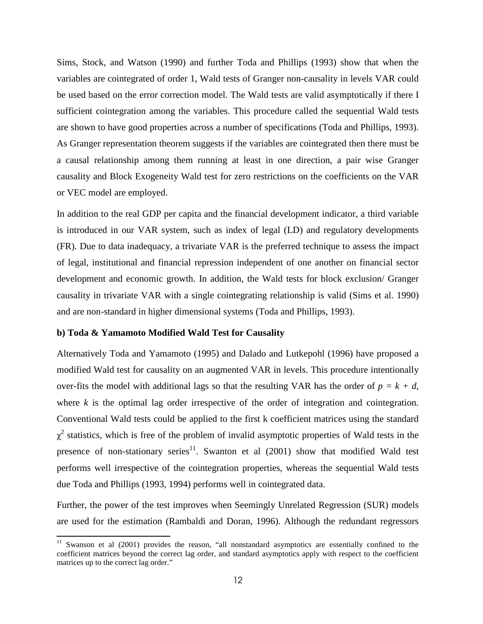Sims, Stock, and Watson (1990) and further Toda and Phillips (1993) show that when the variables are cointegrated of order 1, Wald tests of Granger non-causality in levels VAR could be used based on the error correction model. The Wald tests are valid asymptotically if there I sufficient cointegration among the variables. This procedure called the sequential Wald tests are shown to have good properties across a number of specifications (Toda and Phillips, 1993). As Granger representation theorem suggests if the variables are cointegrated then there must be a causal relationship among them running at least in one direction, a pair wise Granger causality and Block Exogeneity Wald test for zero restrictions on the coefficients on the VAR or VEC model are employed.

In addition to the real GDP per capita and the financial development indicator, a third variable is introduced in our VAR system, such as index of legal (LD) and regulatory developments (FR). Due to data inadequacy, a trivariate VAR is the preferred technique to assess the impact of legal, institutional and financial repression independent of one another on financial sector development and economic growth. In addition, the Wald tests for block exclusion/ Granger causality in trivariate VAR with a single cointegrating relationship is valid (Sims et al. 1990) and are non-standard in higher dimensional systems (Toda and Phillips, 1993).

### **b) Toda & Yamamoto Modified Wald Test for Causality**

 $\overline{a}$ 

Alternatively Toda and Yamamoto (1995) and Dalado and Lutkepohl (1996) have proposed a modified Wald test for causality on an augmented VAR in levels. This procedure intentionally over-fits the model with additional lags so that the resulting VAR has the order of  $p = k + d$ , where *k* is the optimal lag order irrespective of the order of integration and cointegration. Conventional Wald tests could be applied to the first k coefficient matrices using the standard  $\chi^2$  statistics, which is free of the problem of invalid asymptotic properties of Wald tests in the presence of non-stationary series<sup>11</sup>. Swanton et al  $(2001)$  show that modified Wald test performs well irrespective of the cointegration properties, whereas the sequential Wald tests due Toda and Phillips (1993, 1994) performs well in cointegrated data.

Further, the power of the test improves when Seemingly Unrelated Regression (SUR) models are used for the estimation (Rambaldi and Doran, 1996). Although the redundant regressors

<sup>&</sup>lt;sup>11</sup> Swanson et al (2001) provides the reason, "all nonstandard asymptotics are essentially confined to the coefficient matrices beyond the correct lag order, and standard asymptotics apply with respect to the coefficient matrices up to the correct lag order."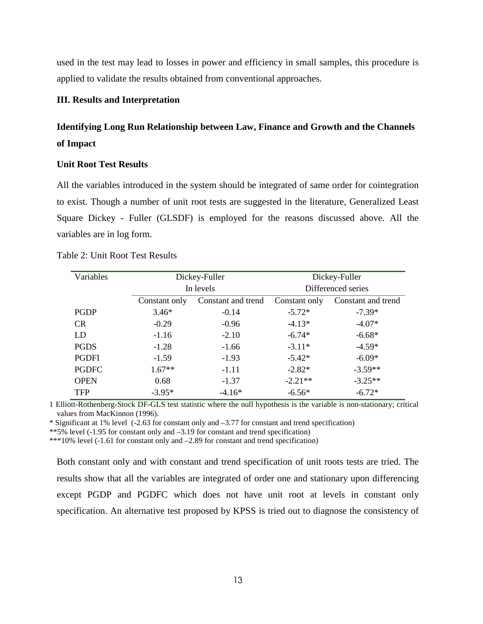used in the test may lead to losses in power and efficiency in small samples, this procedure is applied to validate the results obtained from conventional approaches.

### **III. Results and Interpretation**

### **Identifying Long Run Relationship between Law, Finance and Growth and the Channels of Impact**

### **Unit Root Test Results**

All the variables introduced in the system should be integrated of same order for cointegration to exist. Though a number of unit root tests are suggested in the literature, Generalized Least Square Dickey - Fuller (GLSDF) is employed for the reasons discussed above. All the variables are in log form.

|  |  | Table 2: Unit Root Test Results |
|--|--|---------------------------------|
|--|--|---------------------------------|

| Variables    |               | Dickey-Fuller      | Dickey-Fuller |                    |  |  |
|--------------|---------------|--------------------|---------------|--------------------|--|--|
|              |               | In levels          |               | Differenced series |  |  |
|              | Constant only | Constant and trend | Constant only | Constant and trend |  |  |
| <b>PGDP</b>  | $3.46*$       | $-0.14$            | $-5.72*$      | $-7.39*$           |  |  |
| <b>CR</b>    | $-0.29$       | $-0.96$            | $-4.13*$      | $-4.07*$           |  |  |
| LD           | $-1.16$       | $-2.10$            | $-6.74*$      | $-6.68*$           |  |  |
| <b>PGDS</b>  | $-1.28$       | $-1.66$            | $-3.11*$      | $-4.59*$           |  |  |
| <b>PGDFI</b> | $-1.59$       | $-1.93$            | $-5.42*$      | $-6.09*$           |  |  |
| <b>PGDFC</b> | $1.67**$      | $-1.11$            | $-2.82*$      | $-3.59**$          |  |  |
| <b>OPEN</b>  | 0.68          | $-1.37$            | $-2.21**$     | $-3.25**$          |  |  |
| <b>TFP</b>   | $-3.95*$      | $-4.16*$           | $-6.56*$      | $-6.72*$           |  |  |

1 Elliott-Rothenberg-Stock DF-GLS test statistic where the null hypothesis is the variable is non-stationary; critical values from MacKinnon (1996).

\* Significant at 1% level (-2.63 for constant only and –3.77 for constant and trend specification)

\*\*5% level (-1.95 for constant only and –3.19 for constant and trend specification)

\*\*\*10% level (-1.61 for constant only and –2.89 for constant and trend specification)

Both constant only and with constant and trend specification of unit roots tests are tried. The results show that all the variables are integrated of order one and stationary upon differencing except PGDP and PGDFC which does not have unit root at levels in constant only specification. An alternative test proposed by KPSS is tried out to diagnose the consistency of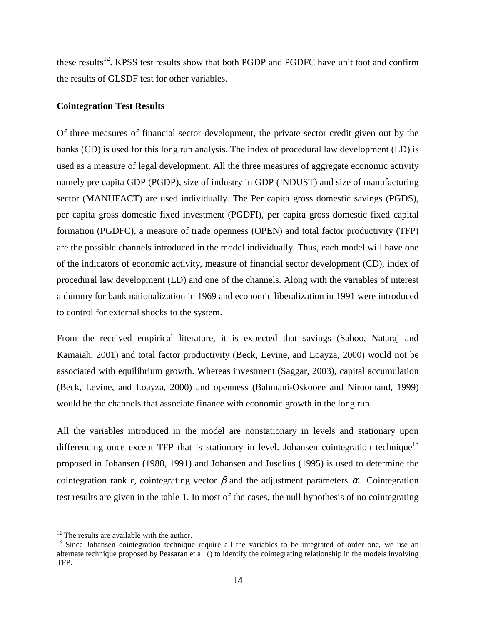these results<sup>12</sup>. KPSS test results show that both PGDP and PGDFC have unit toot and confirm the results of GLSDF test for other variables.

### **Cointegration Test Results**

Of three measures of financial sector development, the private sector credit given out by the banks (CD) is used for this long run analysis. The index of procedural law development (LD) is used as a measure of legal development. All the three measures of aggregate economic activity namely pre capita GDP (PGDP), size of industry in GDP (INDUST) and size of manufacturing sector (MANUFACT) are used individually. The Per capita gross domestic savings (PGDS), per capita gross domestic fixed investment (PGDFI), per capita gross domestic fixed capital formation (PGDFC), a measure of trade openness (OPEN) and total factor productivity (TFP) are the possible channels introduced in the model individually. Thus, each model will have one of the indicators of economic activity, measure of financial sector development (CD), index of procedural law development (LD) and one of the channels. Along with the variables of interest a dummy for bank nationalization in 1969 and economic liberalization in 1991 were introduced to control for external shocks to the system.

From the received empirical literature, it is expected that savings (Sahoo, Nataraj and Kamaiah, 2001) and total factor productivity (Beck, Levine, and Loayza, 2000) would not be associated with equilibrium growth. Whereas investment (Saggar, 2003), capital accumulation (Beck, Levine, and Loayza, 2000) and openness (Bahmani-Oskooee and Niroomand, 1999) would be the channels that associate finance with economic growth in the long run.

All the variables introduced in the model are nonstationary in levels and stationary upon differencing once except TFP that is stationary in level. Johansen cointegration technique<sup>13</sup> proposed in Johansen (1988, 1991) and Johansen and Juselius (1995) is used to determine the cointegration rank *r*, cointegrating vector  $\beta$  and the adjustment parameters  $\alpha$ . Cointegration test results are given in the table 1. In most of the cases, the null hypothesis of no cointegrating

 $\overline{a}$ 

<sup>&</sup>lt;sup>12</sup> The results are available with the author.

<sup>&</sup>lt;sup>13</sup> Since Johansen cointegration technique require all the variables to be integrated of order one, we use an alternate technique proposed by Peasaran et al. () to identify the cointegrating relationship in the models involving TFP.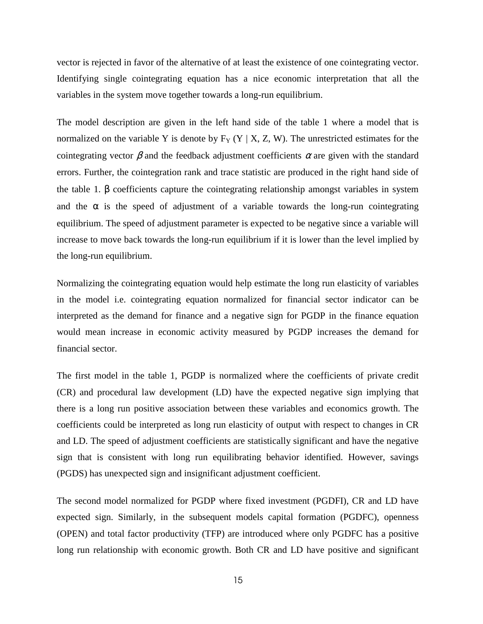vector is rejected in favor of the alternative of at least the existence of one cointegrating vector. Identifying single cointegrating equation has a nice economic interpretation that all the variables in the system move together towards a long-run equilibrium.

The model description are given in the left hand side of the table 1 where a model that is normalized on the variable Y is denote by  $F_Y (Y | X, Z, W)$ . The unrestricted estimates for the cointegrating vector  $\beta$  and the feedback adjustment coefficients  $\alpha$  are given with the standard errors. Further, the cointegration rank and trace statistic are produced in the right hand side of the table 1. β coefficients capture the cointegrating relationship amongst variables in system and the  $\alpha$  is the speed of adjustment of a variable towards the long-run cointegrating equilibrium. The speed of adjustment parameter is expected to be negative since a variable will increase to move back towards the long-run equilibrium if it is lower than the level implied by the long-run equilibrium.

Normalizing the cointegrating equation would help estimate the long run elasticity of variables in the model i.e. cointegrating equation normalized for financial sector indicator can be interpreted as the demand for finance and a negative sign for PGDP in the finance equation would mean increase in economic activity measured by PGDP increases the demand for financial sector.

The first model in the table 1, PGDP is normalized where the coefficients of private credit (CR) and procedural law development (LD) have the expected negative sign implying that there is a long run positive association between these variables and economics growth. The coefficients could be interpreted as long run elasticity of output with respect to changes in CR and LD. The speed of adjustment coefficients are statistically significant and have the negative sign that is consistent with long run equilibrating behavior identified. However, savings (PGDS) has unexpected sign and insignificant adjustment coefficient.

The second model normalized for PGDP where fixed investment (PGDFI), CR and LD have expected sign. Similarly, in the subsequent models capital formation (PGDFC), openness (OPEN) and total factor productivity (TFP) are introduced where only PGDFC has a positive long run relationship with economic growth. Both CR and LD have positive and significant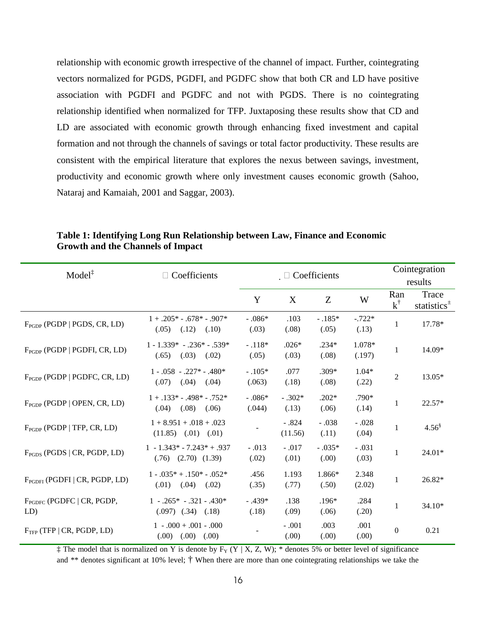relationship with economic growth irrespective of the channel of impact. Further, cointegrating vectors normalized for PGDS, PGDFI, and PGDFC show that both CR and LD have positive association with PGDFI and PGDFC and not with PGDS. There is no cointegrating relationship identified when normalized for TFP. Juxtaposing these results show that CD and LD are associated with economic growth through enhancing fixed investment and capital formation and not through the channels of savings or total factor productivity. These results are consistent with the empirical literature that explores the nexus between savings, investment, productivity and economic growth where only investment causes economic growth (Sahoo, Nataraj and Kamaiah, 2001 and Saggar, 2003).

| $Model^{\ddagger}$                    | Coefficients<br>$\Box$                                    | $\Box$ Coefficients |                    |                   |                   |                      | Cointegration<br>results           |  |
|---------------------------------------|-----------------------------------------------------------|---------------------|--------------------|-------------------|-------------------|----------------------|------------------------------------|--|
|                                       |                                                           | Y                   | X                  | Z                 | W                 | Ran<br>$k^{\dagger}$ | Trace<br>statistics $\overline{ }$ |  |
| $F_{PGDP}$ (PGDP   PGDS, CR, LD)      | $1 + .205* - .678* - .907*$<br>$(.05)$ $(.12)$<br>(.10)   | $-.086*$<br>(.03)   | .103<br>(.08)      | $-.185*$<br>(.05) | $-.722*$<br>(.13) | $\mathbf{1}$         | 17.78*                             |  |
| $F_{PGDP}$ (PGDP   PGDFI, CR, LD)     | $1 - 1.339* - 0.236* - 0.539*$<br>(.65)<br>(.03)<br>(.02) | $-.118*$<br>(.05)   | $.026*$<br>(.03)   | $.234*$<br>(.08)  | 1.078*<br>(.197)  | 1                    | 14.09*                             |  |
| $F_{PGDP}$ (PGDP   PGDFC, CR, LD)     | $1 - .058 - .227* - .480*$<br>(.07)<br>(.04)<br>(.04)     | $-.105*$<br>(.063)  | .077<br>(.18)      | $.309*$<br>(.08)  | $1.04*$<br>(.22)  | $\overline{2}$       | 13.05*                             |  |
| $F_{PGDP}$ (PGDP   OPEN, CR, LD)      | $1 + .133* - .498* - .752*$<br>$(.04)$ $(.08)$ $(.06)$    | $-.086*$<br>(.044)  | $-.302*$<br>(.13)  | $.202*$<br>(.06)  | $.790*$<br>(.14)  | $\mathbf{1}$         | 22.57*                             |  |
| $F_{PGDP}$ (PGDP   TFP, CR, LD)       | $1 + 8.951 + .018 + .023$<br>$(11.85)$ $(0.01)$ $(0.01)$  |                     | $-.824$<br>(11.56) | $-.038$<br>(.11)  | $-.028$<br>(.04)  | 1                    | $4.56^{\$}$                        |  |
| $FPGDS$ (PGDS   CR, PGDP, LD)         | $1 - 1.343* - 7.243* + .937$<br>$(.76)$ $(2.70)$ $(1.39)$ | $-.013$<br>(.02)    | $-.017$<br>(.01)   | $-.035*$<br>(.00) | $-.031$<br>(.03)  | $\mathbf{1}$         | $24.01*$                           |  |
| $F_{PGDFI}$ (PGDFI   CR, PGDP, LD)    | $1 - .035^* + .150^* - .052^*$<br>$(.01)$ $(.04)$ $(.02)$ | .456<br>(.35)       | 1.193<br>(.77)     | 1.866*<br>(.50)   | 2.348<br>(2.02)   | 1                    | 26.82*                             |  |
| $F_{PGDEC}$ (PGDFC   CR, PGDP,<br>LD) | $1 - .265* - .321 - .430*$<br>$(.097)$ $(.34)$ $(.18)$    | $-.439*$<br>(.18)   | .138<br>(.09)      | $.196*$<br>(.06)  | .284<br>(.20)     | $\mathbf{1}$         | $34.10*$                           |  |
| $FTFP$ (TFP   CR, PGDP, LD)           | $1 - .000 + .001 - .000$<br>$(0.00)$ $(0.00)$ $(0.00)$    |                     | $-.001$<br>(.00)   | .003<br>(.00)     | .001<br>(.00)     | $\theta$             | 0.21                               |  |

**Table 1: Identifying Long Run Relationship between Law, Finance and Economic Growth and the Channels of Impact** 

 $\ddagger$  The model that is normalized on Y is denote by F<sub>Y</sub> (Y | X, Z, W); \* denotes 5% or better level of significance and \*\* denotes significant at 10% level; † When there are more than one cointegrating relationships we take the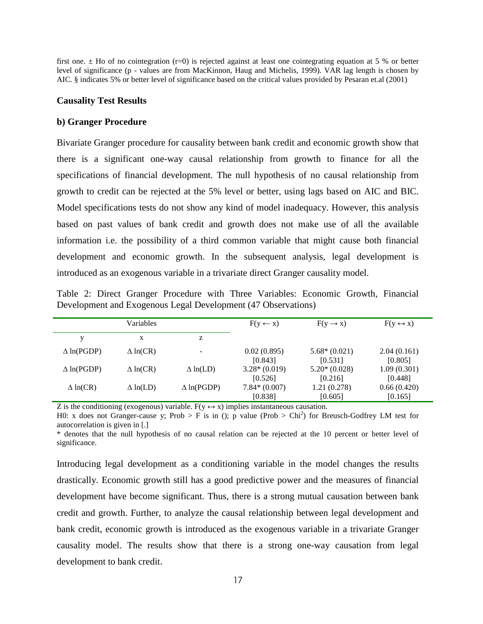first one.  $\pm$  Ho of no cointegration (r=0) is rejected against at least one cointegrating equation at 5 % or better level of significance (p - values are from MacKinnon, Haug and Michelis, 1999). VAR lag length is chosen by AIC. § indicates 5% or better level of significance based on the critical values provided by Pesaran et.al (2001)

### **Causality Test Results**

### **b) Granger Procedure**

Bivariate Granger procedure for causality between bank credit and economic growth show that there is a significant one-way causal relationship from growth to finance for all the specifications of financial development. The null hypothesis of no causal relationship from growth to credit can be rejected at the 5% level or better, using lags based on AIC and BIC. Model specifications tests do not show any kind of model inadequacy. However, this analysis based on past values of bank credit and growth does not make use of all the available information i.e. the possibility of a third common variable that might cause both financial development and economic growth. In the subsequent analysis, legal development is introduced as an exogenous variable in a trivariate direct Granger causality model.

Table 2: Direct Granger Procedure with Three Variables: Economic Growth, Financial Development and Exogenous Legal Development (47 Observations)

|                   | Variables       |                          | $F(y \leftarrow x)$       | $F(y \rightarrow x)$      | $F(y \leftrightarrow x)$ |
|-------------------|-----------------|--------------------------|---------------------------|---------------------------|--------------------------|
|                   | X               | z                        |                           |                           |                          |
| $\Delta$ ln(PGDP) | $\Delta$ ln(CR) | $\overline{\phantom{a}}$ | 0.02(0.895)<br>[0.843]    | $5.68*(0.021)$<br>[0.531] | 2.04(0.161)<br>[0.805]   |
| $\Delta$ ln(PGDP) | $\Delta$ ln(CR) | $\Delta$ ln(LD)          | $3.28*(0.019)$<br>[0.526] | $5.20*(0.028)$<br>[0.216] | 1.09(0.301)<br>[0.448]   |
| $\Delta$ ln(CR)   | $\Delta$ ln(LD) | $\Delta$ ln(PGDP)        | $7.84*(0.007)$<br>[0.838] | 1.21 (0.278)<br>[0.605]   | 0.66(0.420)<br>[0.165]   |

Z is the conditioning (exogenous) variable.  $F(y \leftrightarrow x)$  implies instantaneous causation.

H0: x does not Granger-cause y; Prob > F is in (); p value (Prob > Chi<sup>2</sup>) for Breusch-Godfrey LM test for autocorrelation is given in [.]

\* denotes that the null hypothesis of no causal relation can be rejected at the 10 percent or better level of significance.

Introducing legal development as a conditioning variable in the model changes the results drastically. Economic growth still has a good predictive power and the measures of financial development have become significant. Thus, there is a strong mutual causation between bank credit and growth. Further, to analyze the causal relationship between legal development and bank credit, economic growth is introduced as the exogenous variable in a trivariate Granger causality model. The results show that there is a strong one-way causation from legal development to bank credit.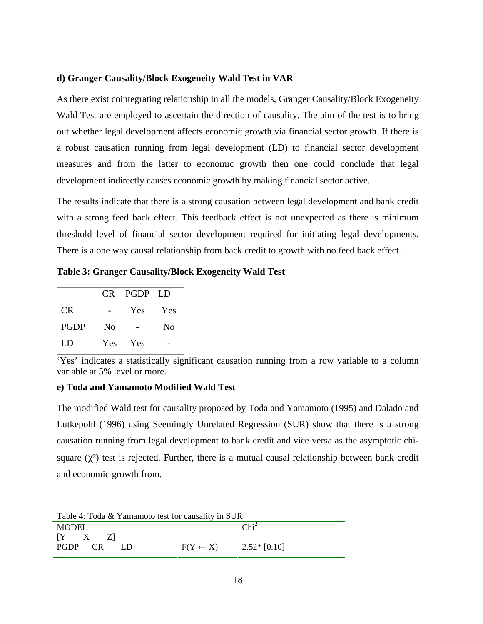### **d) Granger Causality/Block Exogeneity Wald Test in VAR**

As there exist cointegrating relationship in all the models, Granger Causality/Block Exogeneity Wald Test are employed to ascertain the direction of causality. The aim of the test is to bring out whether legal development affects economic growth via financial sector growth. If there is a robust causation running from legal development (LD) to financial sector development measures and from the latter to economic growth then one could conclude that legal development indirectly causes economic growth by making financial sector active.

The results indicate that there is a strong causation between legal development and bank credit with a strong feed back effect. This feedback effect is not unexpected as there is minimum threshold level of financial sector development required for initiating legal developments. There is a one way causal relationship from back credit to growth with no feed back effect.

**Table 3: Granger Causality/Block Exogeneity Wald Test** 

|             |    | CR PGDP LD |    |
|-------------|----|------------|----|
| CR.         |    | Yes Yes    |    |
| <b>PGDP</b> | No |            | No |
| LD          |    | Yes Yes    |    |

'Yes' indicates a statistically significant causation running from a row variable to a column variable at 5% level or more.

### **e) Toda and Yamamoto Modified Wald Test**

The modified Wald test for causality proposed by Toda and Yamamoto (1995) and Dalado and Lutkepohl (1996) using Seemingly Unrelated Regression (SUR) show that there is a strong causation running from legal development to bank credit and vice versa as the asymptotic chisquare  $(\chi^2)$  test is rejected. Further, there is a mutual causal relationship between bank credit and economic growth from.

| Table 4: Toda & Yamamoto test for causality in SUR |                                  |                  |  |  |  |  |
|----------------------------------------------------|----------------------------------|------------------|--|--|--|--|
| <b>MODEL</b>                                       |                                  | Chi <sup>2</sup> |  |  |  |  |
| $[Y \quad X \quad Z]$                              |                                  |                  |  |  |  |  |
| PGDP CR<br>- I 1 D                                 | $F(Y \leftarrow X)$ 2.52* [0.10] |                  |  |  |  |  |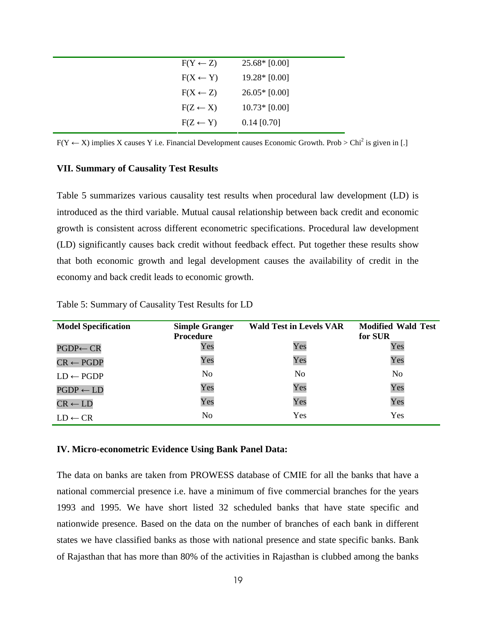| $F(Y \leftarrow Z)$ | $25.68*$ [0.00] |
|---------------------|-----------------|
| $F(X \leftarrow Y)$ | $19.28*$ [0.00] |
| $F(X \leftarrow Z)$ | $26.05*$ [0.00] |
| $F(Z \leftarrow X)$ | $10.73*$ [0.00] |
| $F(Z \leftarrow Y)$ | $0.14$ [0.70]   |
|                     |                 |

 $F(Y \leftarrow X)$  implies X causes Y i.e. Financial Development causes Economic Growth. Prob > Chi<sup>2</sup> is given in [.]

### **VII. Summary of Causality Test Results**

Table 5 summarizes various causality test results when procedural law development (LD) is introduced as the third variable. Mutual causal relationship between back credit and economic growth is consistent across different econometric specifications. Procedural law development (LD) significantly causes back credit without feedback effect. Put together these results show that both economic growth and legal development causes the availability of credit in the economy and back credit leads to economic growth.

| <b>Model Specification</b> | <b>Simple Granger</b><br><b>Procedure</b> | <b>Wald Test in Levels VAR</b> | <b>Modified Wald Test</b><br>for SUR |
|----------------------------|-------------------------------------------|--------------------------------|--------------------------------------|
| $PGDP \leftarrow CR$       | Yes                                       | Yes                            | Yes                                  |
| $CR \leftarrow PGDP$       | Yes                                       | Yes                            | Yes                                  |
| $LD \leftarrow PGDP$       | No                                        | No                             | N <sub>0</sub>                       |
| $PGDP \leftarrow LD$       | Yes                                       | Yes                            | Yes                                  |
| $CR \leftarrow LD$         | Yes                                       | Yes                            | Yes                                  |
| $LD \leftarrow CR$         | No                                        | Yes                            | Yes                                  |

Table 5: Summary of Causality Test Results for LD

#### **IV. Micro-econometric Evidence Using Bank Panel Data:**

The data on banks are taken from PROWESS database of CMIE for all the banks that have a national commercial presence i.e. have a minimum of five commercial branches for the years 1993 and 1995. We have short listed 32 scheduled banks that have state specific and nationwide presence. Based on the data on the number of branches of each bank in different states we have classified banks as those with national presence and state specific banks. Bank of Rajasthan that has more than 80% of the activities in Rajasthan is clubbed among the banks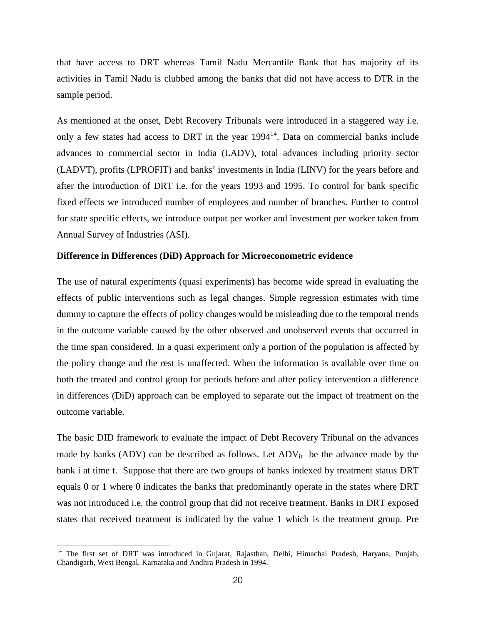that have access to DRT whereas Tamil Nadu Mercantile Bank that has majority of its activities in Tamil Nadu is clubbed among the banks that did not have access to DTR in the sample period.

As mentioned at the onset, Debt Recovery Tribunals were introduced in a staggered way i.e. only a few states had access to DRT in the year  $1994<sup>14</sup>$ . Data on commercial banks include advances to commercial sector in India (LADV), total advances including priority sector (LADVT), profits (LPROFIT) and banks' investments in India (LINV) for the years before and after the introduction of DRT i.e. for the years 1993 and 1995. To control for bank specific fixed effects we introduced number of employees and number of branches. Further to control for state specific effects, we introduce output per worker and investment per worker taken from Annual Survey of Industries (ASI).

### **Difference in Differences (DiD) Approach for Microeconometric evidence**

The use of natural experiments (quasi experiments) has become wide spread in evaluating the effects of public interventions such as legal changes. Simple regression estimates with time dummy to capture the effects of policy changes would be misleading due to the temporal trends in the outcome variable caused by the other observed and unobserved events that occurred in the time span considered. In a quasi experiment only a portion of the population is affected by the policy change and the rest is unaffected. When the information is available over time on both the treated and control group for periods before and after policy intervention a difference in differences (DiD) approach can be employed to separate out the impact of treatment on the outcome variable.

The basic DID framework to evaluate the impact of Debt Recovery Tribunal on the advances made by banks (ADV) can be described as follows. Let  $\text{ADV}_{it}$  be the advance made by the bank i at time t. Suppose that there are two groups of banks indexed by treatment status DRT equals 0 or 1 where 0 indicates the banks that predominantly operate in the states where DRT was not introduced i.e. the control group that did not receive treatment. Banks in DRT exposed states that received treatment is indicated by the value 1 which is the treatment group. Pre

 $\overline{a}$ 

<sup>&</sup>lt;sup>14</sup> The first set of DRT was introduced in Gujarat, Rajasthan, Delhi, Himachal Pradesh, Haryana, Punjab, Chandigarh, West Bengal, Karnataka and Andhra Pradesh in 1994.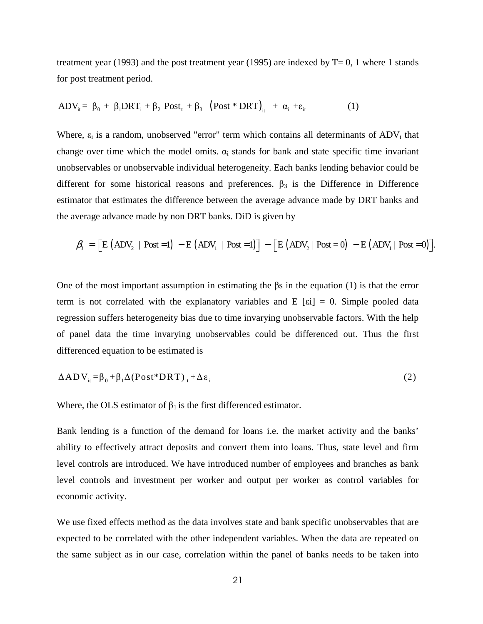treatment year (1993) and the post treatment year (1995) are indexed by  $T=0$ , 1 where 1 stands for post treatment period.

$$
ADV_{it} = \beta_0 + \beta_1 DRT_i + \beta_2 Post_t + \beta_3 (Post * DRT)_{it} + \alpha_i + \varepsilon_{it}
$$
 (1)

Where,  $\varepsilon_i$  is a random, unobserved "error" term which contains all determinants of  $ADV_i$  that change over time which the model omits.  $\alpha_i$  stands for bank and state specific time invariant unobservables or unobservable individual heterogeneity. Each banks lending behavior could be different for some historical reasons and preferences.  $\beta_3$  is the Difference in Difference estimator that estimates the difference between the average advance made by DRT banks and the average advance made by non DRT banks. DiD is given by

$$
\beta_3 = \left[ E \left( ADV_2 \mid Post = 1 \right) - E \left( ADV_1 \mid Post = 1 \right) \right] - \left[ E \left( ADV_2 \mid Post = 0 \right) - E \left( ADV_1 \mid Post = 0 \right) \right].
$$

One of the most important assumption in estimating the βs in the equation (1) is that the error term is not correlated with the explanatory variables and E [ $\epsilon$ i] = 0. Simple pooled data regression suffers heterogeneity bias due to time invarying unobservable factors. With the help of panel data the time invarying unobservables could be differenced out. Thus the first differenced equation to be estimated is

$$
\Delta ADV_{it} = \beta_0 + \beta_1 \Delta (Post^*DRT)_{it} + \Delta \varepsilon_i
$$
 (2)

Where, the OLS estimator of  $\beta_1$  is the first differenced estimator.

Bank lending is a function of the demand for loans i.e. the market activity and the banks' ability to effectively attract deposits and convert them into loans. Thus, state level and firm level controls are introduced. We have introduced number of employees and branches as bank level controls and investment per worker and output per worker as control variables for economic activity.

We use fixed effects method as the data involves state and bank specific unobservables that are expected to be correlated with the other independent variables. When the data are repeated on the same subject as in our case, correlation within the panel of banks needs to be taken into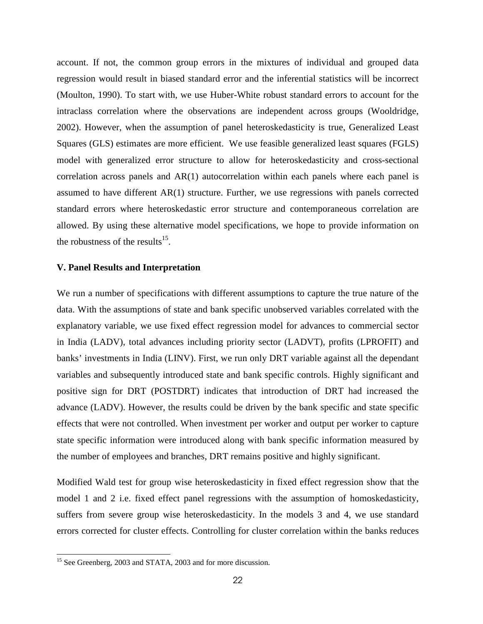account. If not, the common group errors in the mixtures of individual and grouped data regression would result in biased standard error and the inferential statistics will be incorrect (Moulton, 1990). To start with, we use Huber-White robust standard errors to account for the intraclass correlation where the observations are independent across groups (Wooldridge, 2002). However, when the assumption of panel heteroskedasticity is true, Generalized Least Squares (GLS) estimates are more efficient. We use feasible generalized least squares (FGLS) model with generalized error structure to allow for heteroskedasticity and cross-sectional correlation across panels and AR(1) autocorrelation within each panels where each panel is assumed to have different AR(1) structure. Further, we use regressions with panels corrected standard errors where heteroskedastic error structure and contemporaneous correlation are allowed. By using these alternative model specifications, we hope to provide information on the robustness of the results<sup>15</sup>.

### **V. Panel Results and Interpretation**

We run a number of specifications with different assumptions to capture the true nature of the data. With the assumptions of state and bank specific unobserved variables correlated with the explanatory variable, we use fixed effect regression model for advances to commercial sector in India (LADV), total advances including priority sector (LADVT), profits (LPROFIT) and banks' investments in India (LINV). First, we run only DRT variable against all the dependant variables and subsequently introduced state and bank specific controls. Highly significant and positive sign for DRT (POSTDRT) indicates that introduction of DRT had increased the advance (LADV). However, the results could be driven by the bank specific and state specific effects that were not controlled. When investment per worker and output per worker to capture state specific information were introduced along with bank specific information measured by the number of employees and branches, DRT remains positive and highly significant.

Modified Wald test for group wise heteroskedasticity in fixed effect regression show that the model 1 and 2 i.e. fixed effect panel regressions with the assumption of homoskedasticity, suffers from severe group wise heteroskedasticity. In the models 3 and 4, we use standard errors corrected for cluster effects. Controlling for cluster correlation within the banks reduces

 $\overline{a}$ 

<sup>&</sup>lt;sup>15</sup> See Greenberg, 2003 and STATA, 2003 and for more discussion.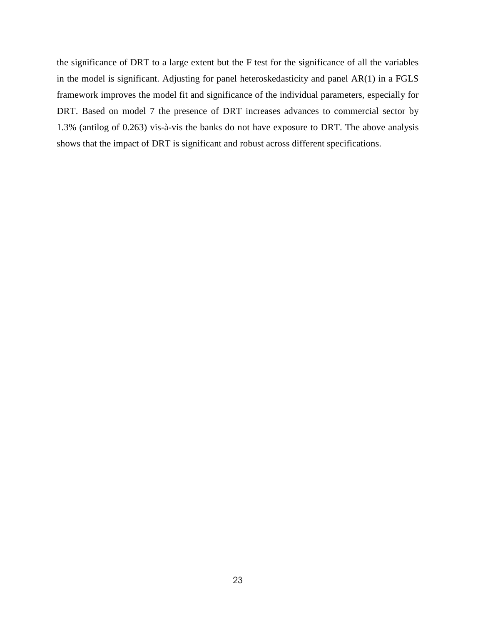the significance of DRT to a large extent but the F test for the significance of all the variables in the model is significant. Adjusting for panel heteroskedasticity and panel AR(1) in a FGLS framework improves the model fit and significance of the individual parameters, especially for DRT. Based on model 7 the presence of DRT increases advances to commercial sector by 1.3% (antilog of 0.263) vis-à-vis the banks do not have exposure to DRT. The above analysis shows that the impact of DRT is significant and robust across different specifications.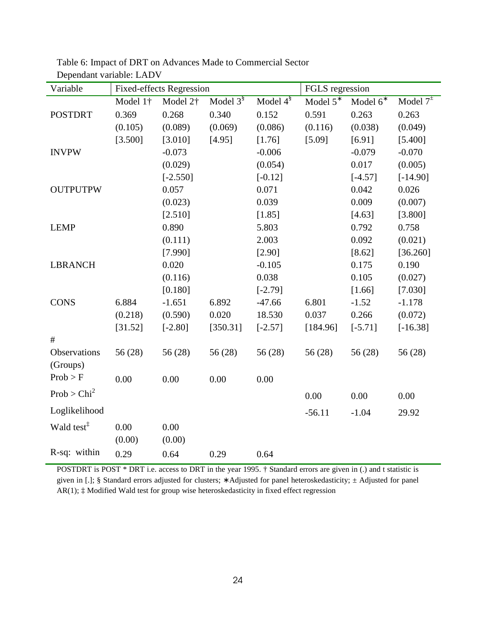| Variable                 | <b>Fixed-effects Regression</b> |                      |                |                         | FGLS regression |                      |                 |
|--------------------------|---------------------------------|----------------------|----------------|-------------------------|-----------------|----------------------|-----------------|
|                          | Model 1 <sup>+</sup>            | Model 2 <sup>†</sup> | Model $3^{\S}$ | Model $4^{\frac{8}{3}}$ | Model $5^*$     | Model 6 <sup>*</sup> | Model $7^{\pm}$ |
| <b>POSTDRT</b>           | 0.369                           | 0.268                | 0.340          | 0.152                   | 0.591           | 0.263                | 0.263           |
|                          | (0.105)                         | (0.089)              | (0.069)        | (0.086)                 | (0.116)         | (0.038)              | (0.049)         |
|                          | [3.500]                         | [3.010]              | [4.95]         | [1.76]                  | [5.09]          | [6.91]               | [5.400]         |
| <b>INVPW</b>             |                                 | $-0.073$             |                | $-0.006$                |                 | $-0.079$             | $-0.070$        |
|                          |                                 | (0.029)              |                | (0.054)                 |                 | 0.017                | (0.005)         |
|                          |                                 | $[-2.550]$           |                | $[-0.12]$               |                 | $[-4.57]$            | $[-14.90]$      |
| <b>OUTPUTPW</b>          |                                 | 0.057                |                | 0.071                   |                 | 0.042                | 0.026           |
|                          |                                 | (0.023)              |                | 0.039                   |                 | 0.009                | (0.007)         |
|                          |                                 | [2.510]              |                | [1.85]                  |                 | [4.63]               | [3.800]         |
| <b>LEMP</b>              |                                 | 0.890                |                | 5.803                   |                 | 0.792                | 0.758           |
|                          |                                 | (0.111)              |                | 2.003                   |                 | 0.092                | (0.021)         |
|                          |                                 | [7.990]              |                | [2.90]                  |                 | [8.62]               | [36.260]        |
| <b>LBRANCH</b>           |                                 | 0.020                |                | $-0.105$                |                 | 0.175                | 0.190           |
|                          |                                 | (0.116)              |                | 0.038                   |                 | 0.105                | (0.027)         |
|                          |                                 | [0.180]              |                | $[-2.79]$               |                 | [1.66]               | [7.030]         |
| <b>CONS</b>              | 6.884                           | $-1.651$             | 6.892          | $-47.66$                | 6.801           | $-1.52$              | $-1.178$        |
|                          | (0.218)                         | (0.590)              | 0.020          | 18.530                  | 0.037           | 0.266                | (0.072)         |
|                          | [31.52]                         | $[-2.80]$            | [350.31]       | $[-2.57]$               | [184.96]        | $[-5.71]$            | $[-16.38]$      |
| #                        |                                 |                      |                |                         |                 |                      |                 |
| Observations<br>(Groups) | 56(28)                          | 56 (28)              | 56 (28)        | 56(28)                  | 56(28)          | 56(28)               | 56 (28)         |
| Prob > F                 | 0.00                            | 0.00                 | 0.00           | 0.00                    |                 |                      |                 |
| Prob > Chi <sup>2</sup>  |                                 |                      |                |                         | 0.00            | 0.00                 | 0.00            |
| Loglikelihood            |                                 |                      |                |                         | $-56.11$        | $-1.04$              | 29.92           |
| Wald test <sup>‡</sup>   | 0.00                            | 0.00                 |                |                         |                 |                      |                 |
|                          | (0.00)                          | (0.00)               |                |                         |                 |                      |                 |
| R-sq: within             | 0.29                            | 0.64                 | 0.29           | 0.64                    |                 |                      |                 |

Table 6: Impact of DRT on Advances Made to Commercial Sector Dependant variable: LADV

POSTDRT is POST \* DRT i.e. access to DRT in the year 1995. † Standard errors are given in (.) and t statistic is given in [.]; § Standard errors adjusted for clusters; ∗ Adjusted for panel heteroskedasticity; ± Adjusted for panel AR(1); ‡ Modified Wald test for group wise heteroskedasticity in fixed effect regression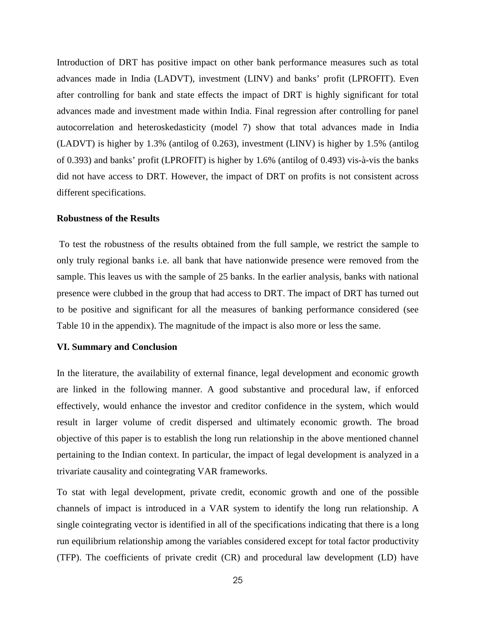Introduction of DRT has positive impact on other bank performance measures such as total advances made in India (LADVT), investment (LINV) and banks' profit (LPROFIT). Even after controlling for bank and state effects the impact of DRT is highly significant for total advances made and investment made within India. Final regression after controlling for panel autocorrelation and heteroskedasticity (model 7) show that total advances made in India (LADVT) is higher by 1.3% (antilog of 0.263), investment (LINV) is higher by 1.5% (antilog of 0.393) and banks' profit (LPROFIT) is higher by 1.6% (antilog of 0.493) vis-à-vis the banks did not have access to DRT. However, the impact of DRT on profits is not consistent across different specifications.

### **Robustness of the Results**

 To test the robustness of the results obtained from the full sample, we restrict the sample to only truly regional banks i.e. all bank that have nationwide presence were removed from the sample. This leaves us with the sample of 25 banks. In the earlier analysis, banks with national presence were clubbed in the group that had access to DRT. The impact of DRT has turned out to be positive and significant for all the measures of banking performance considered (see Table 10 in the appendix). The magnitude of the impact is also more or less the same.

### **VI. Summary and Conclusion**

In the literature, the availability of external finance, legal development and economic growth are linked in the following manner. A good substantive and procedural law, if enforced effectively, would enhance the investor and creditor confidence in the system, which would result in larger volume of credit dispersed and ultimately economic growth. The broad objective of this paper is to establish the long run relationship in the above mentioned channel pertaining to the Indian context. In particular, the impact of legal development is analyzed in a trivariate causality and cointegrating VAR frameworks.

To stat with legal development, private credit, economic growth and one of the possible channels of impact is introduced in a VAR system to identify the long run relationship. A single cointegrating vector is identified in all of the specifications indicating that there is a long run equilibrium relationship among the variables considered except for total factor productivity (TFP). The coefficients of private credit (CR) and procedural law development (LD) have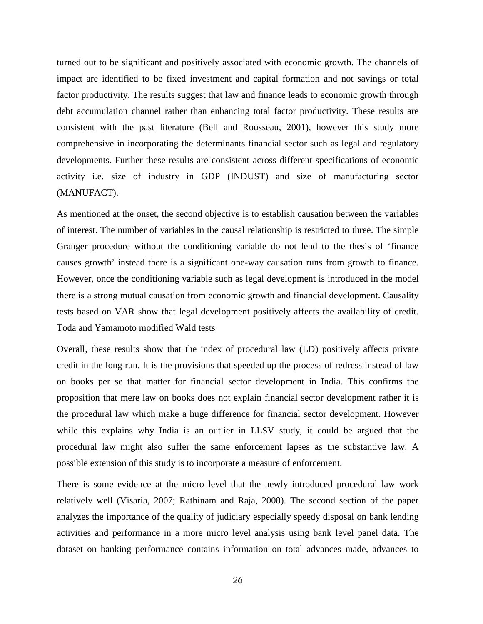turned out to be significant and positively associated with economic growth. The channels of impact are identified to be fixed investment and capital formation and not savings or total factor productivity. The results suggest that law and finance leads to economic growth through debt accumulation channel rather than enhancing total factor productivity. These results are consistent with the past literature (Bell and Rousseau, 2001), however this study more comprehensive in incorporating the determinants financial sector such as legal and regulatory developments. Further these results are consistent across different specifications of economic activity i.e. size of industry in GDP (INDUST) and size of manufacturing sector (MANUFACT).

As mentioned at the onset, the second objective is to establish causation between the variables of interest. The number of variables in the causal relationship is restricted to three. The simple Granger procedure without the conditioning variable do not lend to the thesis of 'finance causes growth' instead there is a significant one-way causation runs from growth to finance. However, once the conditioning variable such as legal development is introduced in the model there is a strong mutual causation from economic growth and financial development. Causality tests based on VAR show that legal development positively affects the availability of credit. Toda and Yamamoto modified Wald tests

Overall, these results show that the index of procedural law (LD) positively affects private credit in the long run. It is the provisions that speeded up the process of redress instead of law on books per se that matter for financial sector development in India. This confirms the proposition that mere law on books does not explain financial sector development rather it is the procedural law which make a huge difference for financial sector development. However while this explains why India is an outlier in LLSV study, it could be argued that the procedural law might also suffer the same enforcement lapses as the substantive law. A possible extension of this study is to incorporate a measure of enforcement.

There is some evidence at the micro level that the newly introduced procedural law work relatively well (Visaria, 2007; Rathinam and Raja, 2008). The second section of the paper analyzes the importance of the quality of judiciary especially speedy disposal on bank lending activities and performance in a more micro level analysis using bank level panel data. The dataset on banking performance contains information on total advances made, advances to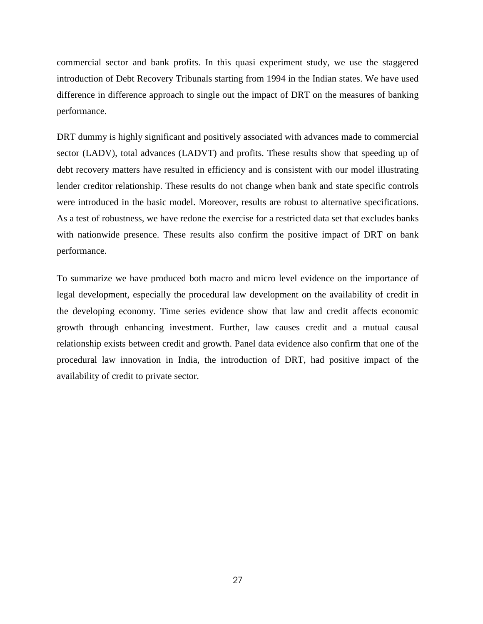commercial sector and bank profits. In this quasi experiment study, we use the staggered introduction of Debt Recovery Tribunals starting from 1994 in the Indian states. We have used difference in difference approach to single out the impact of DRT on the measures of banking performance.

DRT dummy is highly significant and positively associated with advances made to commercial sector (LADV), total advances (LADVT) and profits. These results show that speeding up of debt recovery matters have resulted in efficiency and is consistent with our model illustrating lender creditor relationship. These results do not change when bank and state specific controls were introduced in the basic model. Moreover, results are robust to alternative specifications. As a test of robustness, we have redone the exercise for a restricted data set that excludes banks with nationwide presence. These results also confirm the positive impact of DRT on bank performance.

To summarize we have produced both macro and micro level evidence on the importance of legal development, especially the procedural law development on the availability of credit in the developing economy. Time series evidence show that law and credit affects economic growth through enhancing investment. Further, law causes credit and a mutual causal relationship exists between credit and growth. Panel data evidence also confirm that one of the procedural law innovation in India, the introduction of DRT, had positive impact of the availability of credit to private sector.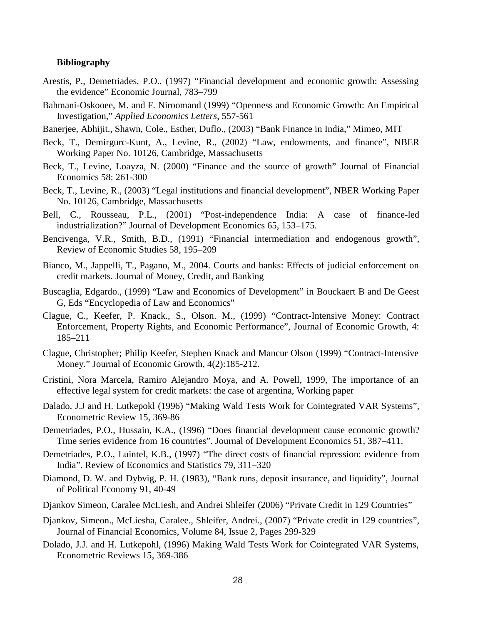### **Bibliography**

- Arestis, P., Demetriades, P.O., (1997) "Financial development and economic growth: Assessing the evidence" Economic Journal, 783–799
- Bahmani-Oskooee, M. and F. Niroomand (1999) "Openness and Economic Growth: An Empirical Investigation," *Applied Economics Letters*, 557-561
- Banerjee, Abhijit., Shawn, Cole., Esther, Duflo., (2003) "Bank Finance in India," Mimeo, MIT
- Beck, T., Demirgurc-Kunt, A., Levine, R., (2002) "Law, endowments, and finance", NBER Working Paper No. 10126, Cambridge, Massachusetts
- Beck, T., Levine, Loayza, N. (2000) "Finance and the source of growth" Journal of Financial Economics 58: 261-300
- Beck, T., Levine, R., (2003) "Legal institutions and financial development", NBER Working Paper No. 10126, Cambridge, Massachusetts
- Bell, C., Rousseau, P.L., (2001) "Post-independence India: A case of finance-led industrialization?" Journal of Development Economics 65, 153–175.
- Bencivenga, V.R., Smith, B.D., (1991) "Financial intermediation and endogenous growth", Review of Economic Studies 58, 195–209
- Bianco, M., Jappelli, T., Pagano, M., 2004. Courts and banks: Effects of judicial enforcement on credit markets. Journal of Money, Credit, and Banking
- Buscaglia, Edgardo., (1999) "Law and Economics of Development" in Bouckaert B and De Geest G, Eds "Encyclopedia of Law and Economics"
- Clague, C., Keefer, P. Knack., S., Olson. M., (1999) "Contract-Intensive Money: Contract Enforcement, Property Rights, and Economic Performance", Journal of Economic Growth, 4: 185–211
- Clague, Christopher; Philip Keefer, Stephen Knack and Mancur Olson (1999) "Contract-Intensive Money." Journal of Economic Growth, 4(2):185-212.
- Cristini, Nora Marcela, Ramiro Alejandro Moya, and A. Powell, 1999, The importance of an effective legal system for credit markets: the case of argentina, Working paper
- Dalado, J.J and H. Lutkepokl (1996) "Making Wald Tests Work for Cointegrated VAR Systems", Econometric Review 15, 369-86
- Demetriades, P.O., Hussain, K.A., (1996) "Does financial development cause economic growth? Time series evidence from 16 countries". Journal of Development Economics 51, 387–411.
- Demetriades, P.O., Luintel, K.B., (1997) "The direct costs of financial repression: evidence from India". Review of Economics and Statistics 79, 311–320
- Diamond, D. W. and Dybvig, P. H. (1983), "Bank runs, deposit insurance, and liquidity", Journal of Political Economy 91, 40-49
- Djankov Simeon, Caralee McLiesh, and Andrei Shleifer (2006) "Private Credit in 129 Countries"
- Djankov, Simeon., McLiesha, Caralee., Shleifer, Andrei., (2007) "Private credit in 129 countries", Journal of Financial Economics, Volume 84, Issue 2, Pages 299-329
- Dolado, J.J. and H. Lutkepohl, (1996) Making Wald Tests Work for Cointegrated VAR Systems, Econometric Reviews 15, 369-386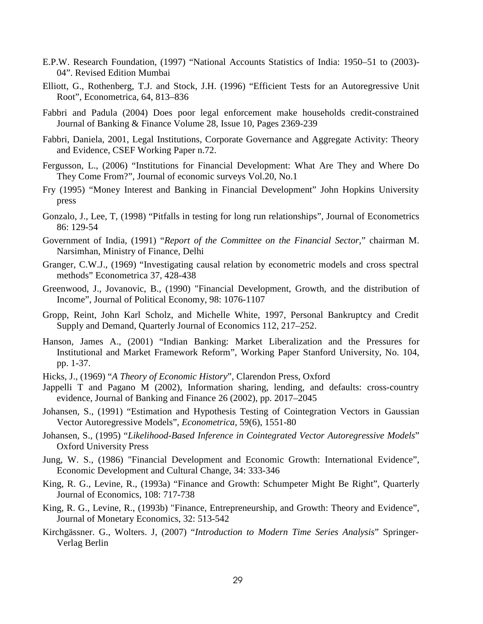- E.P.W. Research Foundation, (1997) "National Accounts Statistics of India: 1950–51 to (2003)- 04". Revised Edition Mumbai
- Elliott, G., Rothenberg, T.J. and Stock, J.H. (1996) "Efficient Tests for an Autoregressive Unit Root", Econometrica, 64, 813–836
- Fabbri and Padula (2004) Does poor legal enforcement make households credit-constrained Journal of Banking & Finance Volume 28, Issue 10, Pages 2369-239
- Fabbri, Daniela, 2001, Legal Institutions, Corporate Governance and Aggregate Activity: Theory and Evidence, CSEF Working Paper n.72.
- Fergusson, L., (2006) "Institutions for Financial Development: What Are They and Where Do They Come From?", Journal of economic surveys Vol.20, No.1
- Fry (1995) "Money Interest and Banking in Financial Development" John Hopkins University press
- Gonzalo, J., Lee, T, (1998) "Pitfalls in testing for long run relationships", Journal of Econometrics 86: 129-54
- Government of India, (1991) "*Report of the Committee on the Financial Sector*," chairman M. Narsimhan, Ministry of Finance, Delhi
- Granger, C.W.J., (1969) "Investigating causal relation by econometric models and cross spectral methods" Econometrica 37, 428-438
- Greenwood, J., Jovanovic, B., (1990) "Financial Development, Growth, and the distribution of Income", Journal of Political Economy, 98: 1076-1107
- Gropp, Reint, John Karl Scholz, and Michelle White, 1997, Personal Bankruptcy and Credit Supply and Demand, Quarterly Journal of Economics 112, 217–252.
- Hanson, James A., (2001) "Indian Banking: Market Liberalization and the Pressures for Institutional and Market Framework Reform", Working Paper Stanford University, No. 104, pp. 1-37.
- Hicks, J., (1969) "*A Theory of Economic History*", Clarendon Press, Oxford
- Jappelli T and Pagano M (2002), Information sharing, lending, and defaults: cross-country evidence, Journal of Banking and Finance 26 (2002), pp. 2017–2045
- Johansen, S., (1991) "Estimation and Hypothesis Testing of Cointegration Vectors in Gaussian Vector Autoregressive Models", *Econometrica*, 59(6), 1551-80
- Johansen, S., (1995) "*Likelihood-Based Inference in Cointegrated Vector Autoregressive Models*" Oxford University Press
- Jung, W. S., (1986) "Financial Development and Economic Growth: International Evidence", Economic Development and Cultural Change, 34: 333-346
- King, R. G., Levine, R., (1993a) "Finance and Growth: Schumpeter Might Be Right", Quarterly Journal of Economics, 108: 717-738
- King, R. G., Levine, R., (1993b) "Finance, Entrepreneurship, and Growth: Theory and Evidence", Journal of Monetary Economics, 32: 513-542
- Kirchgässner. G., Wolters. J, (2007) "*Introduction to Modern Time Series Analysis*" Springer-Verlag Berlin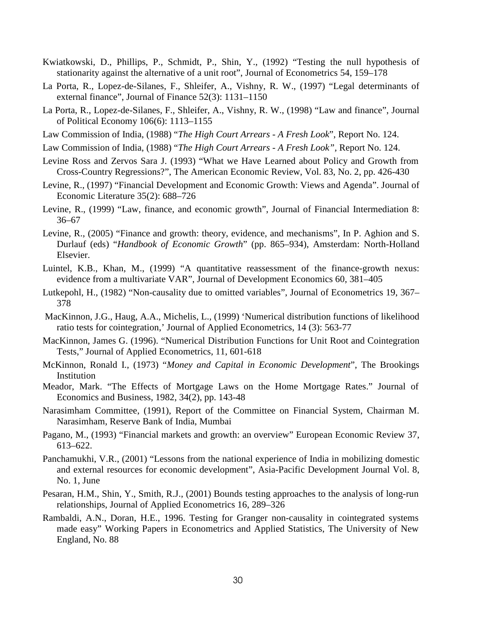- Kwiatkowski, D., Phillips, P., Schmidt, P., Shin, Y., (1992) "Testing the null hypothesis of stationarity against the alternative of a unit root", Journal of Econometrics 54, 159–178
- La Porta, R., Lopez-de-Silanes, F., Shleifer, A., Vishny, R. W., (1997) "Legal determinants of external finance", Journal of Finance 52(3): 1131–1150
- La Porta, R., Lopez-de-Silanes, F., Shleifer, A., Vishny, R. W., (1998) "Law and finance", Journal of Political Economy 106(6): 1113–1155
- Law Commission of India, (1988) "*The High Court Arrears A Fresh Look*", Report No. 124.
- Law Commission of India, (1988) "*The High Court Arrears A Fresh Look",* Report No. 124.
- Levine Ross and Zervos Sara J. (1993) "What we Have Learned about Policy and Growth from Cross-Country Regressions?", The American Economic Review, Vol. 83, No. 2, pp. 426-430
- Levine, R., (1997) "Financial Development and Economic Growth: Views and Agenda". Journal of Economic Literature 35(2): 688–726
- Levine, R., (1999) "Law, finance, and economic growth", Journal of Financial Intermediation 8: 36–67
- Levine, R., (2005) "Finance and growth: theory, evidence, and mechanisms", In P. Aghion and S. Durlauf (eds) "*Handbook of Economic Growth*" (pp. 865–934), Amsterdam: North-Holland Elsevier.
- Luintel, K.B., Khan, M., (1999) "A quantitative reassessment of the finance-growth nexus: evidence from a multivariate VAR", Journal of Development Economics 60, 381–405
- Lutkepohl, H., (1982) "Non-causality due to omitted variables", Journal of Econometrics 19, 367– 378
- MacKinnon, J.G., Haug, A.A., Michelis, L., (1999) 'Numerical distribution functions of likelihood ratio tests for cointegration,' Journal of Applied Econometrics, 14 (3): 563-77
- MacKinnon, James G. (1996). "Numerical Distribution Functions for Unit Root and Cointegration Tests," Journal of Applied Econometrics, 11, 601-618
- McKinnon, Ronald I., (1973) "*Money and Capital in Economic Development*", The Brookings Institution
- Meador, Mark. "The Effects of Mortgage Laws on the Home Mortgage Rates." Journal of Economics and Business, 1982, 34(2), pp. 143-48
- Narasimham Committee, (1991), Report of the Committee on Financial System, Chairman M. Narasimham, Reserve Bank of India, Mumbai
- Pagano, M., (1993) "Financial markets and growth: an overview" European Economic Review 37, 613–622.
- Panchamukhi, V.R., (2001) "Lessons from the national experience of India in mobilizing domestic and external resources for economic development", Asia-Pacific Development Journal Vol. 8, No. 1, June
- Pesaran, H.M., Shin, Y., Smith, R.J., (2001) Bounds testing approaches to the analysis of long-run relationships, Journal of Applied Econometrics 16, 289–326
- Rambaldi, A.N., Doran, H.E., 1996. Testing for Granger non-causality in cointegrated systems made easy" Working Papers in Econometrics and Applied Statistics, The University of New England, No. 88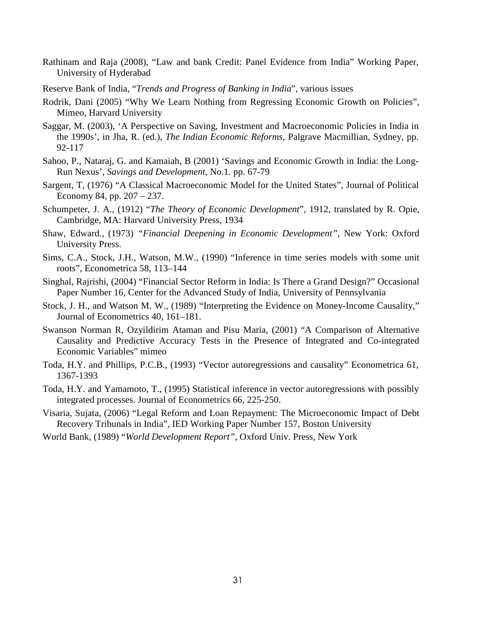- Rathinam and Raja (2008), "Law and bank Credit: Panel Evidence from India" Working Paper, University of Hyderabad
- Reserve Bank of India, "*Trends and Progress of Banking in India*", various issues
- Rodrik, Dani (2005) "Why We Learn Nothing from Regressing Economic Growth on Policies", Mimeo, Harvard University
- Saggar, M. (2003), 'A Perspective on Saving, Investment and Macroeconomic Policies in India in the 1990s', in Jha, R. (ed.), *The Indian Economic Reforms*, Palgrave Macmillian, Sydney, pp. 92-117
- Sahoo, P., Nataraj, G. and Kamaiah, B (2001) 'Savings and Economic Growth in India: the Long-Run Nexus'*, Savings and Development,* No.1*.* pp. 67-79
- Sargent, T, (1976) "A Classical Macroeconomic Model for the United States", Journal of Political Economy 84, pp. 207 – 237.
- Schumpeter, J. A., (1912) "*The Theory of Economic Development*", 1912, translated by R. Opie, Cambridge, MA: Harvard University Press, 1934
- Shaw, Edward., (1973) *"Financial Deepening in Economic Development"*, New York: Oxford University Press.
- Sims, C.A., Stock, J.H., Watson, M.W., (1990) "Inference in time series models with some unit roots", Econometrica 58, 113–144
- Singhal, Rajrishi, (2004) "Financial Sector Reform in India: Is There a Grand Design?" Occasional Paper Number 16, Center for the Advanced Study of India, University of Pennsylvania
- Stock, J. H., and Watson M. W., (1989) "Interpreting the Evidence on Money-Income Causality," Journal of Econometrics 40, 161–181.
- Swanson Norman R, Ozyildirim Ataman and Pisu Maria, (2001) "A Comparison of Alternative Causality and Predictive Accuracy Tests in the Presence of Integrated and Co-integrated Economic Variables" mimeo
- Toda, H.Y. and Phillips, P.C.B., (1993) "Vector autoregressions and causality" Econometrica 61, 1367-1393
- Toda, H.Y. and Yamamoto, T., (1995) Statistical inference in vector autoregressions with possibly integrated processes. Journal of Econometrics 66, 225-250.
- Visaria, Sujata, (2006) "Legal Reform and Loan Repayment: The Microeconomic Impact of Debt Recovery Tribunals in India", IED Working Paper Number 157, Boston University
- World Bank, (1989) "*World Development Report"*, Oxford Univ. Press, New York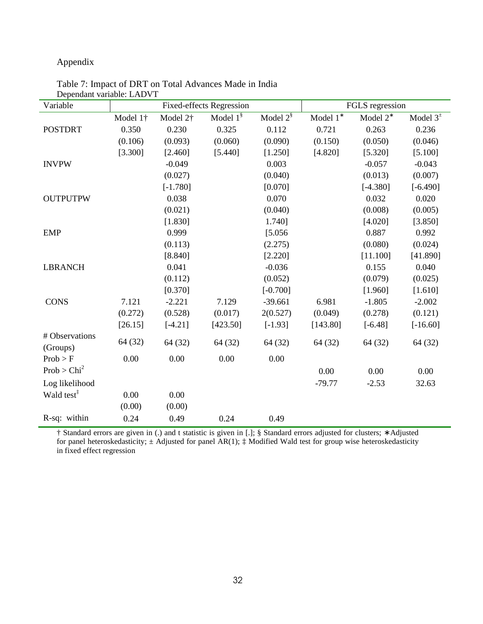### Appendix

| Variable                |          |                      | Fixed-effects Regression |                |                  | FGLS regression |                 |
|-------------------------|----------|----------------------|--------------------------|----------------|------------------|-----------------|-----------------|
|                         | Model 1† | Model 2 <sup>+</sup> | Model $1^{\$}$           | Model $2^{\S}$ | Model $1^{\ast}$ | Model $2^*$     | Model $3^{\pm}$ |
| <b>POSTDRT</b>          | 0.350    | 0.230                | 0.325                    | 0.112          | 0.721            | 0.263           | 0.236           |
|                         | (0.106)  | (0.093)              | (0.060)                  | (0.090)        | (0.150)          | (0.050)         | (0.046)         |
|                         | [3.300]  | [2.460]              | [5.440]                  | [1.250]        | [4.820]          | [5.320]         | [5.100]         |
| <b>INVPW</b>            |          | $-0.049$             |                          | 0.003          |                  | $-0.057$        | $-0.043$        |
|                         |          | (0.027)              |                          | (0.040)        |                  | (0.013)         | (0.007)         |
|                         |          | $[-1.780]$           |                          | [0.070]        |                  | $[-4.380]$      | $[-6.490]$      |
| <b>OUTPUTPW</b>         |          | 0.038                |                          | 0.070          |                  | 0.032           | 0.020           |
|                         |          | (0.021)              |                          | (0.040)        |                  | (0.008)         | (0.005)         |
|                         |          | [1.830]              |                          | 1.740]         |                  | [4.020]         | [3.850]         |
| <b>EMP</b>              |          | 0.999                |                          | [5.056]        |                  | 0.887           | 0.992           |
|                         |          | (0.113)              |                          | (2.275)        |                  | (0.080)         | (0.024)         |
|                         |          | [8.840]              |                          | [2.220]        |                  | [11.100]        | [41.890]        |
| <b>LBRANCH</b>          |          | 0.041                |                          | $-0.036$       |                  | 0.155           | 0.040           |
|                         |          | (0.112)              |                          | (0.052)        |                  | (0.079)         | (0.025)         |
|                         |          | [0.370]              |                          | $[-0.700]$     |                  | [1.960]         | [1.610]         |
| <b>CONS</b>             | 7.121    | $-2.221$             | 7.129                    | $-39.661$      | 6.981            | $-1.805$        | $-2.002$        |
|                         | (0.272)  | (0.528)              | (0.017)                  | 2(0.527)       | (0.049)          | (0.278)         | (0.121)         |
|                         | [26.15]  | $[-4.21]$            | [423.50]                 | $[-1.93]$      | [143.80]         | $[-6.48]$       | $[-16.60]$      |
| # Observations          | 64 (32)  | 64 (32)              |                          |                |                  | 64 (32)         |                 |
| (Groups)                |          |                      | 64 (32)                  | 64 (32)        | 64 (32)          |                 | 64 (32)         |
| Prob > F                | 0.00     | 0.00                 | 0.00                     | 0.00           |                  |                 |                 |
| Prob > Chi <sup>2</sup> |          |                      |                          |                | 0.00             | 0.00            | 0.00            |
| Log likelihood          |          |                      |                          |                | $-79.77$         | $-2.53$         | 32.63           |
| Wald test <sup>‡</sup>  | 0.00     | 0.00                 |                          |                |                  |                 |                 |
|                         | (0.00)   | (0.00)               |                          |                |                  |                 |                 |
| R-sq: within            | 0.24     | 0.49                 | 0.24                     | 0.49           |                  |                 |                 |

Table 7: Impact of DRT on Total Advances Made in India Dependant variable: LADVT

† Standard errors are given in (.) and t statistic is given in [.]; § Standard errors adjusted for clusters; ∗ Adjusted for panel heteroskedasticity;  $\pm$  Adjusted for panel AR(1);  $\ddagger$  Modified Wald test for group wise heteroskedasticity in fixed effect regression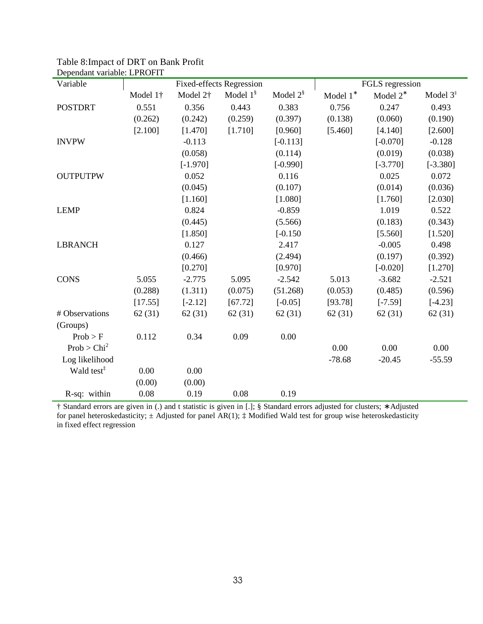| Беренчанг тагнале. Егичети<br>Variable |          |                      | <b>Fixed-effects Regression</b> |                         |             | FGLS regression |            |
|----------------------------------------|----------|----------------------|---------------------------------|-------------------------|-------------|-----------------|------------|
|                                        | Model 1† | Model 2 <sup>†</sup> | Model $1^{\$}$                  | Model $2^{\frac{8}{3}}$ | Model $1^*$ | Model $2^*$     | Model $3‡$ |
| <b>POSTDRT</b>                         | 0.551    | 0.356                | 0.443                           | 0.383                   | 0.756       | 0.247           | 0.493      |
|                                        | (0.262)  | (0.242)              | (0.259)                         | (0.397)                 | (0.138)     | (0.060)         | (0.190)    |
|                                        | [2.100]  | [1.470]              | [1.710]                         | [0.960]                 | [5.460]     | [4.140]         | [2.600]    |
| <b>INVPW</b>                           |          | $-0.113$             |                                 | $[-0.113]$              |             | $[-0.070]$      | $-0.128$   |
|                                        |          | (0.058)              |                                 | (0.114)                 |             | (0.019)         | (0.038)    |
|                                        |          | $[-1.970]$           |                                 | $[-0.990]$              |             | $[-3.770]$      | $[-3.380]$ |
| <b>OUTPUTPW</b>                        |          | 0.052                |                                 | 0.116                   |             | 0.025           | 0.072      |
|                                        |          | (0.045)              |                                 | (0.107)                 |             | (0.014)         | (0.036)    |
|                                        |          | [1.160]              |                                 | [1.080]                 |             | [1.760]         | [2.030]    |
| <b>LEMP</b>                            |          | 0.824                |                                 | $-0.859$                |             | 1.019           | 0.522      |
|                                        |          | (0.445)              |                                 | (5.566)                 |             | (0.183)         | (0.343)    |
|                                        |          | [1.850]              |                                 | $[-0.150]$              |             | [5.560]         | [1.520]    |
| <b>LBRANCH</b>                         |          | 0.127                |                                 | 2.417                   |             | $-0.005$        | 0.498      |
|                                        |          | (0.466)              |                                 | (2.494)                 |             | (0.197)         | (0.392)    |
|                                        |          | [0.270]              |                                 | [0.970]                 |             | $[-0.020]$      | [1.270]    |
| <b>CONS</b>                            | 5.055    | $-2.775$             | 5.095                           | $-2.542$                | 5.013       | $-3.682$        | $-2.521$   |
|                                        | (0.288)  | (1.311)              | (0.075)                         | (51.268)                | (0.053)     | (0.485)         | (0.596)    |
|                                        | [17.55]  | $[-2.12]$            | [67.72]                         | $[-0.05]$               | [93.78]     | $[-7.59]$       | $[-4.23]$  |
| # Observations                         | 62(31)   | 62(31)               | 62(31)                          | 62(31)                  | 62(31)      | 62(31)          | 62(31)     |
| (Groups)                               |          |                      |                                 |                         |             |                 |            |
| Prob > F                               | 0.112    | 0.34                 | 0.09                            | 0.00                    |             |                 |            |
| Prob > Chi <sup>2</sup>                |          |                      |                                 |                         | 0.00        | 0.00            | 0.00       |
| Log likelihood                         |          |                      |                                 |                         | $-78.68$    | $-20.45$        | $-55.59$   |
| Wald test <sup>‡</sup>                 | 0.00     | 0.00                 |                                 |                         |             |                 |            |
|                                        | (0.00)   | (0.00)               |                                 |                         |             |                 |            |
| R-sq: within                           | 0.08     | 0.19                 | 0.08                            | 0.19                    |             |                 |            |

Table 8:Impact of DRT on Bank Profit Dependant variable: LPROFIT

† Standard errors are given in (.) and t statistic is given in [.]; § Standard errors adjusted for clusters; ∗ Adjusted for panel heteroskedasticity;  $\pm$  Adjusted for panel AR(1);  $\pm$  Modified Wald test for group wise heteroskedasticity in fixed effect regression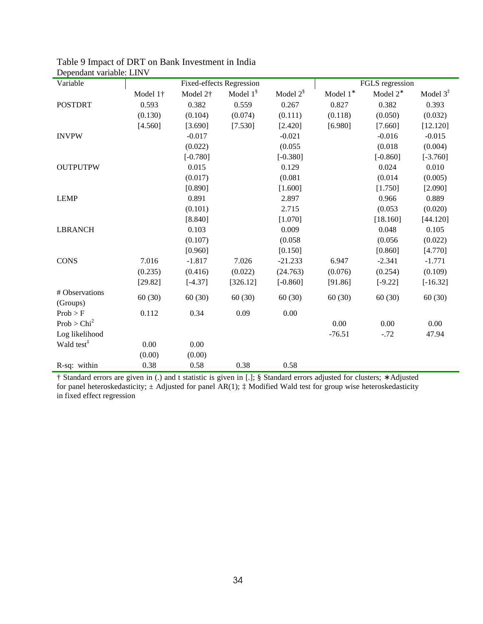| реренции танцию. Епут<br>Variable |          |                      |                          |                |          |                 |                      |
|-----------------------------------|----------|----------------------|--------------------------|----------------|----------|-----------------|----------------------|
|                                   |          |                      | Fixed-effects Regression |                |          | FGLS regression |                      |
|                                   | Model 1† | Model 2 <sup>+</sup> | Model $1^{\frac{8}{3}}$  | Model $2^{\S}$ | Model 1* | Model $2^*$     | Model $3^{\ddagger}$ |
| <b>POSTDRT</b>                    | 0.593    | 0.382                | 0.559                    | 0.267          | 0.827    | 0.382           | 0.393                |
|                                   | (0.130)  | (0.104)              | (0.074)                  | (0.111)        | (0.118)  | (0.050)         | (0.032)              |
|                                   | [4.560]  | [3.690]              | [7.530]                  | [2.420]        | [6.980]  | [7.660]         | [12.120]             |
| <b>INVPW</b>                      |          | $-0.017$             |                          | $-0.021$       |          | $-0.016$        | $-0.015$             |
|                                   |          | (0.022)              |                          | (0.055)        |          | (0.018)         | (0.004)              |
|                                   |          | $[-0.780]$           |                          | $[-0.380]$     |          | $[-0.860]$      | $[-3.760]$           |
| <b>OUTPUTPW</b>                   |          | 0.015                |                          | 0.129          |          | 0.024           | 0.010                |
|                                   |          | (0.017)              |                          | (0.081)        |          | (0.014)         | (0.005)              |
|                                   |          | [0.890]              |                          | [1.600]        |          | [1.750]         | [2.090]              |
| <b>LEMP</b>                       |          | 0.891                |                          | 2.897          |          | 0.966           | 0.889                |
|                                   |          | (0.101)              |                          | 2.715          |          | (0.053)         | (0.020)              |
|                                   |          | [8.840]              |                          | [1.070]        |          | [18.160]        | [44.120]             |
| <b>LBRANCH</b>                    |          | 0.103                |                          | 0.009          |          | 0.048           | 0.105                |
|                                   |          | (0.107)              |                          | (0.058)        |          | (0.056)         | (0.022)              |
|                                   |          | [0.960]              |                          | [0.150]        |          | [0.860]         | [4.770]              |
| <b>CONS</b>                       | 7.016    | $-1.817$             | 7.026                    | $-21.233$      | 6.947    | $-2.341$        | $-1.771$             |
|                                   | (0.235)  | (0.416)              | (0.022)                  | (24.763)       | (0.076)  | (0.254)         | (0.109)              |
|                                   | [29.82]  | $[-4.37]$            | [326.12]                 | $[-0.860]$     | [91.86]  | $[-9.22]$       | $[-16.32]$           |
| # Observations                    | 60(30)   | 60(30)               | 60(30)                   | 60(30)         | 60(30)   | 60(30)          | 60(30)               |
| (Groups)                          |          |                      |                          |                |          |                 |                      |
| Prob > F                          | 0.112    | 0.34                 | 0.09                     | 0.00           |          |                 |                      |
| Prob > Chi <sup>2</sup>           |          |                      |                          |                | 0.00     | 0.00            | 0.00                 |
| Log likelihood                    |          |                      |                          |                | $-76.51$ | $-.72$          | 47.94                |
| Wald test <sup>‡</sup>            | 0.00     | 0.00                 |                          |                |          |                 |                      |
|                                   | (0.00)   | (0.00)               |                          |                |          |                 |                      |
| R-sq: within                      | 0.38     | 0.58                 | 0.38                     | 0.58           |          |                 |                      |

Table 9 Impact of DRT on Bank Investment in India Dependant variable: LINV

† Standard errors are given in (.) and t statistic is given in [.]; § Standard errors adjusted for clusters; ∗ Adjusted for panel heteroskedasticity;  $\pm$  Adjusted for panel AR(1);  $\pm$  Modified Wald test for group wise heteroskedasticity in fixed effect regression